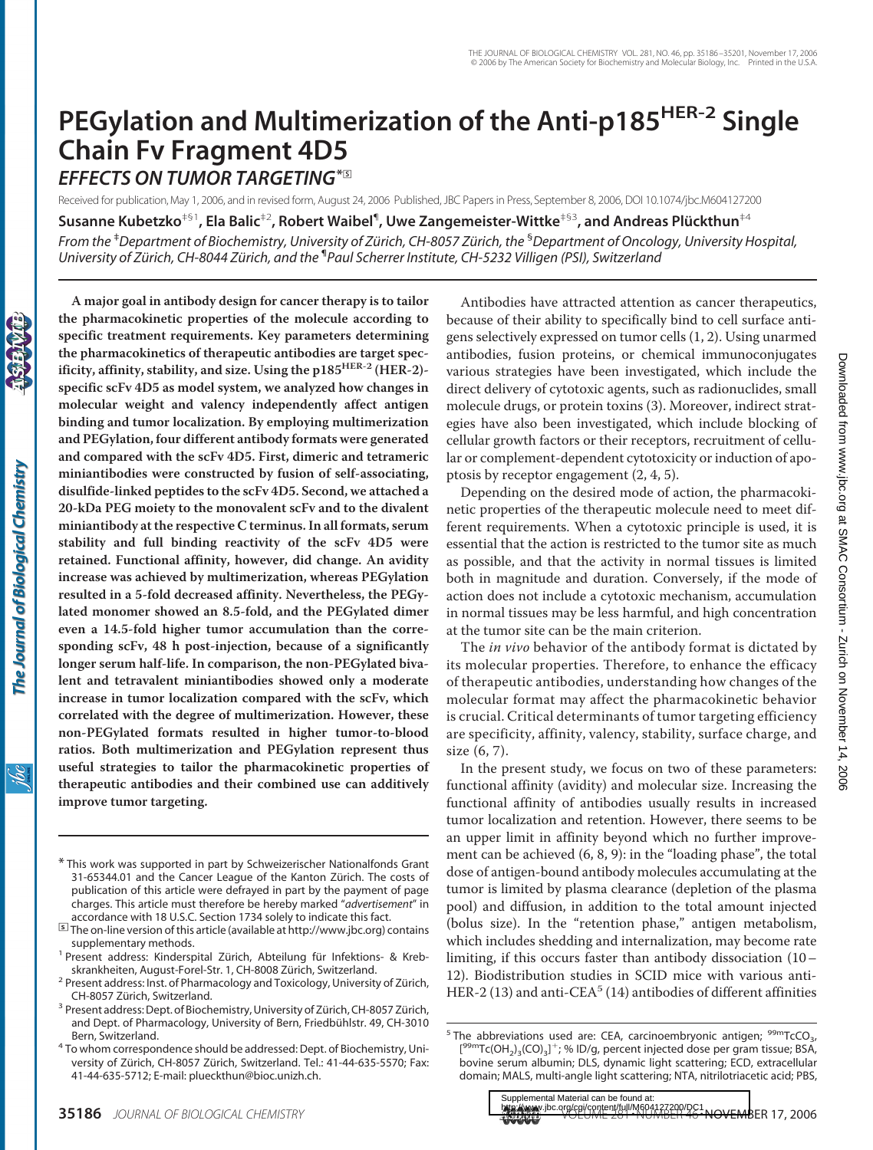# **PEGylation and Multimerization of the Anti-p185HER-2 Single Chain Fv Fragment 4D5**

*EFFECTS ON TUMOR TARGETING***\***□**<sup>S</sup>**

Received for publication, May 1, 2006, and in revised form, August 24, 2006 Published, JBC Papers in Press, September 8, 2006, DOI 10.1074/jbc.M604127200

 $S$ usanne Kubetzko $^{+ \mathbb{S}^1}$ , Ela Balic $^{+ 2}$ , Robert Waibel $^{\P}$ , Uwe Zangemeister-Wittke $^{+ \mathbb{S}^3}$ , and Andreas Plückthun $^{+ 4}$ 

*From the* ‡ *Department of Biochemistry, University of Zu¨rich, CH-8057 Zu¨rich, the* § *Department of Oncology, University Hospital, University of Zu¨rich, CH-8044 Zu¨rich, and the* ¶ *Paul Scherrer Institute, CH-5232 Villigen (PSI), Switzerland*

**the pharmacokinetic properties of the molecule according to specific treatment requirements. Key parameters determining the pharmacokinetics of therapeutic antibodies are target specificity, affinity, stability, and size. Using the p185HER-2 (HER-2) specific scFv 4D5 as model system, we analyzed how changes in molecular weight and valency independently affect antigen binding and tumor localization. By employing multimerization and PEGylation, four different antibody formats were generated and compared with the scFv 4D5. First, dimeric and tetrameric miniantibodies were constructed by fusion of self-associating, disulfide-linked peptides to the scFv 4D5. Second, we attached a 20-kDa PEG moiety to the monovalent scFv and to the divalent miniantibody at the respective C terminus. In all formats, serum stability and full binding reactivity of the scFv 4D5 were retained. Functional affinity, however, did change. An avidity increase was achieved by multimerization, whereas PEGylation resulted in a 5-fold decreased affinity. Nevertheless, the PEGylated monomer showed an 8.5-fold, and the PEGylated dimer even a 14.5-fold higher tumor accumulation than the corresponding scFv, 48 h post-injection, because of a significantly longer serum half-life. In comparison, the non-PEGylated bivalent and tetravalent miniantibodies showed only a moderate increase in tumor localization compared with the scFv, which correlated with the degree of multimerization. However, these non-PEGylated formats resulted in higher tumor-to-blood ratios. Both multimerization and PEGylation represent thus useful strategies to tailor the pharmacokinetic properties of therapeutic antibodies and their combined use can additively improve tumor targeting.**

**A major goal in antibody design for cancer therapy is to tailor**

- \* This work was supported in part by Schweizerischer Nationalfonds Grant 31-65344.01 and the Cancer League of the Kanton Zürich. The costs of publication of this article were defrayed in part by the payment of page charges. This article must therefore be hereby marked "*advertisement*" in
- accordance with 18 U.S.C. Section 1734 solely to indicate this fact.<br>**<u>□</u> The on-line version of this article (available at http://www.jbc.org) contains** supplementary methods.<br><sup>1</sup> Present address: Kinderspital Zürich, Abteilung für Infektions- & Kreb-
- 
- skrankheiten, August-Forel-Str. 1, CH-8008 Zürich, Switzerland.<br><sup>2</sup> Present address: Inst. of Pharmacology and Toxicology, University of Zürich, CH-8057 Zürich, Switzerland. 3 Present address: Dept. of Biochemistry, University of Zürich, CH-8057 Zürich,
- and Dept. of Pharmacology, University of Bern, Friedbühlstr. 49, CH-3010 Bern, Switzerland. <sup>4</sup> To whom correspondence should be addressed: Dept. of Biochemistry, Uni-
- versity of Zürich, CH-8057 Zürich, Switzerland. Tel.: 41-44-635-5570; Fax: 41-44-635-5712; E-mail: plueckthun@bioc.unizh.ch.

Antibodies have attracted attention as cancer therapeutics, because of their ability to specifically bind to cell surface antigens selectively expressed on tumor cells (1, 2). Using unarmed antibodies, fusion proteins, or chemical immunoconjugates various strategies have been investigated, which include the direct delivery of cytotoxic agents, such as radionuclides, small molecule drugs, or protein toxins (3). Moreover, indirect strategies have also been investigated, which include blocking of cellular growth factors or their receptors, recruitment of cellular or complement-dependent cytotoxicity or induction of apoptosis by receptor engagement (2, 4, 5).

Depending on the desired mode of action, the pharmacokinetic properties of the therapeutic molecule need to meet different requirements. When a cytotoxic principle is used, it is essential that the action is restricted to the tumor site as much as possible, and that the activity in normal tissues is limited both in magnitude and duration. Conversely, if the mode of action does not include a cytotoxic mechanism, accumulation in normal tissues may be less harmful, and high concentration at the tumor site can be the main criterion.

The *in vivo* behavior of the antibody format is dictated by its molecular properties. Therefore, to enhance the efficacy of therapeutic antibodies, understanding how changes of the molecular format may affect the pharmacokinetic behavior is crucial. Critical determinants of tumor targeting efficiency are specificity, affinity, valency, stability, surface charge, and size (6, 7).

In the present study, we focus on two of these parameters: functional affinity (avidity) and molecular size. Increasing the functional affinity of antibodies usually results in increased tumor localization and retention. However, there seems to be an upper limit in affinity beyond which no further improvement can be achieved (6, 8, 9): in the "loading phase", the total dose of antigen-bound antibody molecules accumulating at the tumor is limited by plasma clearance (depletion of the plasma pool) and diffusion, in addition to the total amount injected (bolus size). In the "retention phase," antigen metabolism, which includes shedding and internalization, may become rate limiting, if this occurs faster than antibody dissociation (10– 12). Biodistribution studies in SCID mice with various anti-HER-2 (13) and anti-CEA<sup>5</sup> (14) antibodies of different affinities

**35186** *JOURNAL OF BIOLOGICAL CHEMISTRY* **Volume 281•NUMBER 46•NOVEMBER 17, 2006** Supplemental Material can be found at:

<sup>&</sup>lt;sup>5</sup> The abbreviations used are: CEA, carcinoembryonic antigen;  $99mTcCO<sub>3</sub>$ , [<sup>99m</sup>Tc(OH<sub>2</sub>)<sub>3</sub>(CO)<sub>3</sub>]<sup>+</sup>; % ID/g, percent injected dose per gram tissue; BSA, bovine serum albumin; DLS, dynamic light scattering; ECD, extracellular domain; MALS, multi-angle light scattering; NTA, nitrilotriacetic acid; PBS,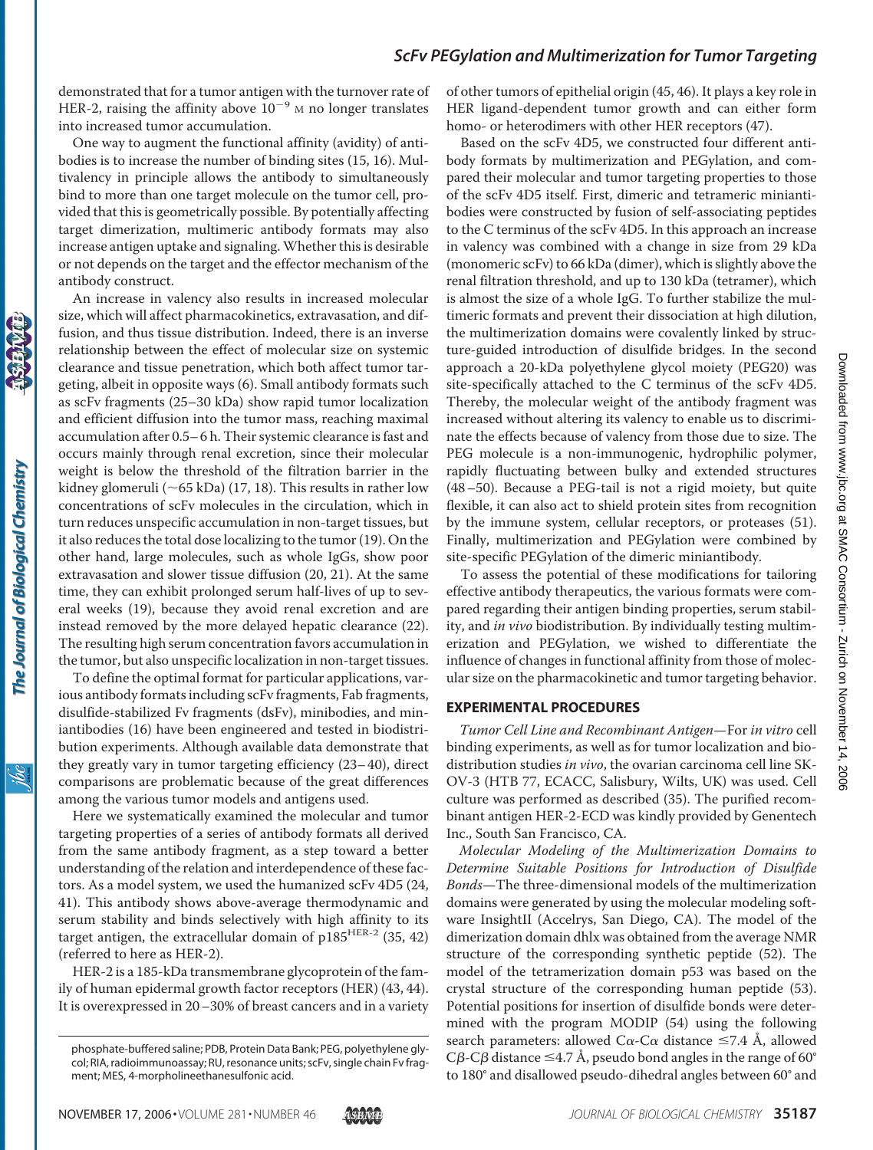demonstrated that for a tumor antigen with the turnover rate of HER-2, raising the affinity above  $10^{-9}$  M no longer translates into increased tumor accumulation.

One way to augment the functional affinity (avidity) of antibodies is to increase the number of binding sites (15, 16). Multivalency in principle allows the antibody to simultaneously bind to more than one target molecule on the tumor cell, provided that this is geometrically possible. By potentially affecting target dimerization, multimeric antibody formats may also increase antigen uptake and signaling.Whether this is desirable or not depends on the target and the effector mechanism of the antibody construct.

An increase in valency also results in increased molecular size, which will affect pharmacokinetics, extravasation, and diffusion, and thus tissue distribution. Indeed, there is an inverse relationship between the effect of molecular size on systemic clearance and tissue penetration, which both affect tumor targeting, albeit in opposite ways (6). Small antibody formats such as scFv fragments (25–30 kDa) show rapid tumor localization and efficient diffusion into the tumor mass, reaching maximal accumulation after 0.5– 6 h. Their systemic clearance is fast and occurs mainly through renal excretion, since their molecular weight is below the threshold of the filtration barrier in the kidney glomeruli ( $\sim$  65 kDa) (17, 18). This results in rather low concentrations of scFv molecules in the circulation, which in turn reduces unspecific accumulation in non-target tissues, but it also reduces the total dose localizing to the tumor (19). On the other hand, large molecules, such as whole IgGs, show poor extravasation and slower tissue diffusion (20, 21). At the same time, they can exhibit prolonged serum half-lives of up to several weeks (19), because they avoid renal excretion and are instead removed by the more delayed hepatic clearance (22). The resulting high serum concentration favors accumulation in the tumor, but also unspecific localization in non-target tissues.

To define the optimal format for particular applications, various antibody formats including scFv fragments, Fab fragments, disulfide-stabilized Fv fragments (dsFv), minibodies, and miniantibodies (16) have been engineered and tested in biodistribution experiments. Although available data demonstrate that they greatly vary in tumor targeting efficiency (23– 40), direct comparisons are problematic because of the great differences among the various tumor models and antigens used.

Here we systematically examined the molecular and tumor targeting properties of a series of antibody formats all derived from the same antibody fragment, as a step toward a better understanding of the relation and interdependence of these factors. As a model system, we used the humanized scFv 4D5 (24, 41). This antibody shows above-average thermodynamic and serum stability and binds selectively with high affinity to its target antigen, the extracellular domain of  $p185^{HER-2}$  (35, 42) (referred to here as HER-2).

HER-2 is a 185-kDa transmembrane glycoprotein of the family of human epidermal growth factor receptors (HER) (43, 44). It is overexpressed in 20–30% of breast cancers and in a variety

of other tumors of epithelial origin (45, 46). It plays a key role in HER ligand-dependent tumor growth and can either form homo- or heterodimers with other HER receptors (47).

Based on the scFv 4D5, we constructed four different antibody formats by multimerization and PEGylation, and compared their molecular and tumor targeting properties to those of the scFv 4D5 itself. First, dimeric and tetrameric miniantibodies were constructed by fusion of self-associating peptides to the C terminus of the scFv 4D5. In this approach an increase in valency was combined with a change in size from 29 kDa (monomeric scFv) to 66 kDa (dimer), which is slightly above the renal filtration threshold, and up to 130 kDa (tetramer), which is almost the size of a whole IgG. To further stabilize the multimeric formats and prevent their dissociation at high dilution, the multimerization domains were covalently linked by structure-guided introduction of disulfide bridges. In the second approach a 20-kDa polyethylene glycol moiety (PEG20) was site-specifically attached to the C terminus of the scFv 4D5. Thereby, the molecular weight of the antibody fragment was increased without altering its valency to enable us to discriminate the effects because of valency from those due to size. The PEG molecule is a non-immunogenic, hydrophilic polymer, rapidly fluctuating between bulky and extended structures (48–50). Because a PEG-tail is not a rigid moiety, but quite flexible, it can also act to shield protein sites from recognition by the immune system, cellular receptors, or proteases (51). Finally, multimerization and PEGylation were combined by site-specific PEGylation of the dimeric miniantibody.

To assess the potential of these modifications for tailoring effective antibody therapeutics, the various formats were compared regarding their antigen binding properties, serum stability, and *in vivo* biodistribution. By individually testing multimerization and PEGylation, we wished to differentiate the influence of changes in functional affinity from those of molecular size on the pharmacokinetic and tumor targeting behavior.

#### **EXPERIMENTAL PROCEDURES**

*Tumor Cell Line and Recombinant Antigen*—For *in vitro* cell binding experiments, as well as for tumor localization and biodistribution studies *in vivo*, the ovarian carcinoma cell line SK-OV-3 (HTB 77, ECACC, Salisbury, Wilts, UK) was used. Cell culture was performed as described (35). The purified recombinant antigen HER-2-ECD was kindly provided by Genentech Inc., South San Francisco, CA.

*Molecular Modeling of the Multimerization Domains to Determine Suitable Positions for Introduction of Disulfide Bonds*—The three-dimensional models of the multimerization domains were generated by using the molecular modeling software InsightII (Accelrys, San Diego, CA). The model of the dimerization domain dhlx was obtained from the average NMR structure of the corresponding synthetic peptide (52). The model of the tetramerization domain p53 was based on the crystal structure of the corresponding human peptide (53). Potential positions for insertion of disulfide bonds were determined with the program MODIP (54) using the following search parameters: allowed C $\alpha$ -C $\alpha$  distance  $\leq$ 7.4 Å, allowed C $\beta$ -C $\beta$  distance  $\leq$ 4.7 Å, pseudo bond angles in the range of 60° to 180° and disallowed pseudo-dihedral angles between 60° and

The Journal of Biological Chemistry

phosphate-buffered saline; PDB, Protein Data Bank; PEG, polyethylene glycol; RIA, radioimmunoassay; RU, resonance units; scFv, single chain Fv fragment; MES, 4-morpholineethanesulfonic acid.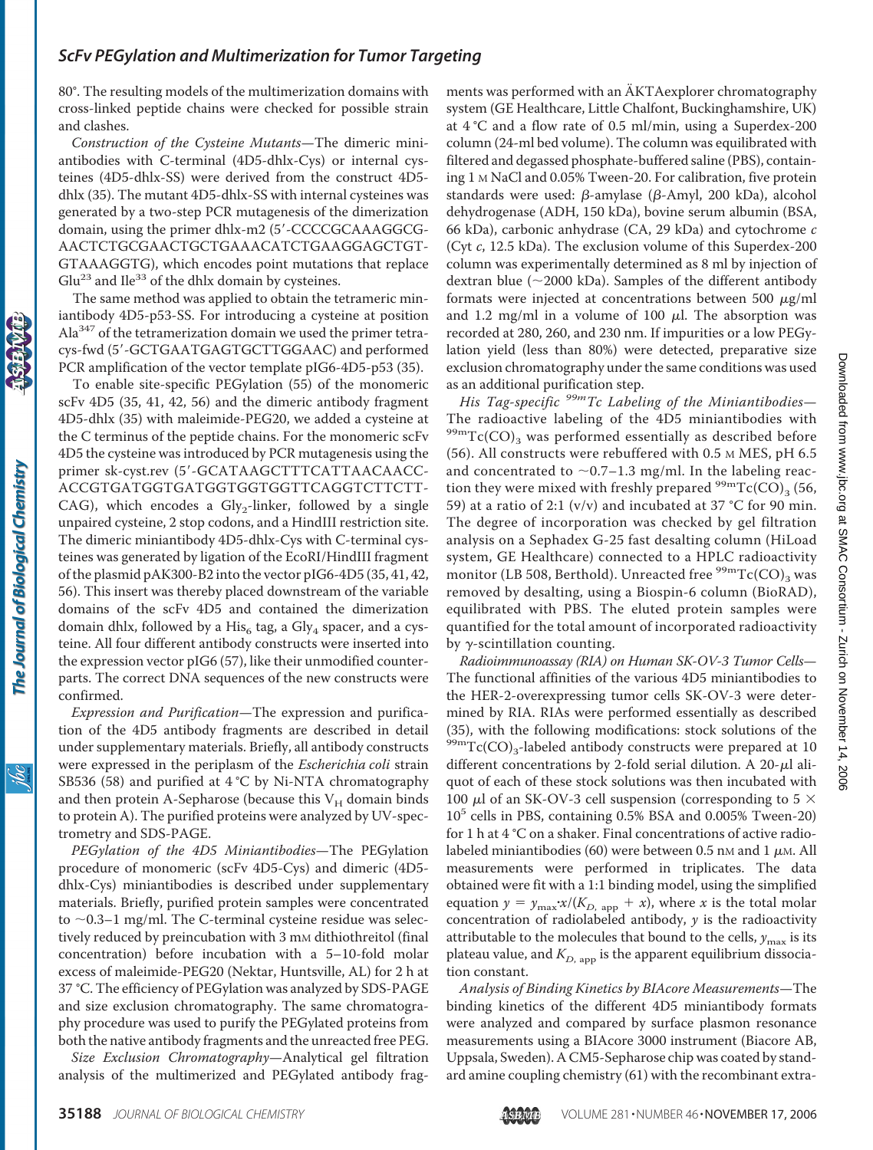80°. The resulting models of the multimerization domains with cross-linked peptide chains were checked for possible strain and clashes.

*Construction of the Cysteine Mutants*—The dimeric miniantibodies with C-terminal (4D5-dhlx-Cys) or internal cysteines (4D5-dhlx-SS) were derived from the construct 4D5 dhlx (35). The mutant 4D5-dhlx-SS with internal cysteines was generated by a two-step PCR mutagenesis of the dimerization domain, using the primer dhlx-m2 (5'-CCCCGCAAAGGCG-AACTCTGCGAACTGCTGAAACATCTGAAGGAGCTGT-GTAAAGGTG), which encodes point mutations that replace  $Glu<sup>23</sup>$  and Ile<sup>33</sup> of the dhlx domain by cysteines.

The same method was applied to obtain the tetrameric miniantibody 4D5-p53-SS. For introducing a cysteine at position  $Ala<sup>347</sup>$  of the tetramerization domain we used the primer tetracys-fwd (5-GCTGAATGAGTGCTTGGAAC) and performed PCR amplification of the vector template pIG6-4D5-p53 (35).

To enable site-specific PEGylation (55) of the monomeric scFv 4D5 (35, 41, 42, 56) and the dimeric antibody fragment 4D5-dhlx (35) with maleimide-PEG20, we added a cysteine at the C terminus of the peptide chains. For the monomeric scFv 4D5 the cysteine was introduced by PCR mutagenesis using the primer sk-cyst.rev (5-GCATAAGCTTTCATTAACAACC-ACCGTGATGGTGATGGTGGTGGTTCAGGTCTTCTT-CAG), which encodes a Gly<sub>2</sub>-linker, followed by a single unpaired cysteine, 2 stop codons, and a HindIII restriction site. The dimeric miniantibody 4D5-dhlx-Cys with C-terminal cysteines was generated by ligation of the EcoRI/HindIII fragment of the plasmid pAK300-B2 into the vector pIG6-4D5 (35, 41, 42, 56). This insert was thereby placed downstream of the variable domains of the scFv 4D5 and contained the dimerization domain dhlx, followed by a His<sub>6</sub> tag, a Gly<sub>4</sub> spacer, and a cysteine. All four different antibody constructs were inserted into the expression vector pIG6 (57), like their unmodified counterparts. The correct DNA sequences of the new constructs were confirmed.

*Expression and Purification*—The expression and purification of the 4D5 antibody fragments are described in detail under supplementary materials. Briefly, all antibody constructs were expressed in the periplasm of the *Escherichia coli* strain SB536 (58) and purified at 4 °C by Ni-NTA chromatography and then protein A-Sepharose (because this  $V_H$  domain binds to protein A). The purified proteins were analyzed by UV-spectrometry and SDS-PAGE.

*PEGylation of the 4D5 Miniantibodies*—The PEGylation procedure of monomeric (scFv 4D5-Cys) and dimeric (4D5 dhlx-Cys) miniantibodies is described under supplementary materials. Briefly, purified protein samples were concentrated to  $\sim$  0.3–1 mg/ml. The C-terminal cysteine residue was selectively reduced by preincubation with 3 mm dithiothreitol (final concentration) before incubation with a 5–10-fold molar excess of maleimide-PEG20 (Nektar, Huntsville, AL) for 2 h at 37 °C. The efficiency of PEGylation was analyzed by SDS-PAGE and size exclusion chromatography. The same chromatography procedure was used to purify the PEGylated proteins from both the native antibody fragments and the unreacted free PEG.

*Size Exclusion Chromatography*—Analytical gel filtration analysis of the multimerized and PEGylated antibody fragments was performed with an  $\ddot{A}$ KTAexplorer chromatography system (GE Healthcare, Little Chalfont, Buckinghamshire, UK) at 4 °C and a flow rate of 0.5 ml/min, using a Superdex-200 column (24-ml bed volume). The column was equilibrated with filtered and degassed phosphate-buffered saline (PBS), containing 1 M NaCl and 0.05% Tween-20. For calibration, five protein standards were used:  $\beta$ -amylase ( $\beta$ -Amyl, 200 kDa), alcohol dehydrogenase (ADH, 150 kDa), bovine serum albumin (BSA, 66 kDa), carbonic anhydrase (CA, 29 kDa) and cytochrome *c* (Cyt *c*, 12.5 kDa). The exclusion volume of this Superdex-200 column was experimentally determined as 8 ml by injection of dextran blue ( $\sim$ 2000 kDa). Samples of the different antibody formats were injected at concentrations between 500  $\mu$ g/ml and 1.2 mg/ml in a volume of 100  $\mu$ l. The absorption was recorded at 280, 260, and 230 nm. If impurities or a low PEGylation yield (less than 80%) were detected, preparative size exclusion chromatography under the same conditions was used as an additional purification step.

*His Tag-specific 99mTc Labeling of the Miniantibodies*— The radioactive labeling of the 4D5 miniantibodies with  $^{99m}$ Tc(CO)<sub>3</sub> was performed essentially as described before (56). All constructs were rebuffered with 0.5 M MES, pH 6.5 and concentrated to  $\sim$  0.7–1.3 mg/ml. In the labeling reaction they were mixed with freshly prepared  $\frac{99 \text{m}}{\text{TC(CO)}_3}$  (56, 59) at a ratio of 2:1 ( $v/v$ ) and incubated at 37 °C for 90 min. The degree of incorporation was checked by gel filtration analysis on a Sephadex G-25 fast desalting column (HiLoad system, GE Healthcare) connected to a HPLC radioactivity monitor (LB 508, Berthold). Unreacted free  $^{99m}Tc(CO)$ <sub>3</sub> was removed by desalting, using a Biospin-6 column (BioRAD), equilibrated with PBS. The eluted protein samples were quantified for the total amount of incorporated radioactivity by  $\gamma$ -scintillation counting.

*Radioimmunoassay (RIA) on Human SK-OV-3 Tumor Cells*— The functional affinities of the various 4D5 miniantibodies to the HER-2-overexpressing tumor cells SK-OV-3 were determined by RIA. RIAs were performed essentially as described (35), with the following modifications: stock solutions of the  $^{99m}Tc(CO)_{3}$ -labeled antibody constructs were prepared at 10 different concentrations by 2-fold serial dilution. A 20- $\mu$ l aliquot of each of these stock solutions was then incubated with 100  $\mu$ l of an SK-OV-3 cell suspension (corresponding to 5  $\times$ 10<sup>5</sup> cells in PBS, containing 0.5% BSA and 0.005% Tween-20) for 1 h at 4 °C on a shaker. Final concentrations of active radiolabeled miniantibodies (60) were between 0.5 nm and 1  $\mu$ m. All measurements were performed in triplicates. The data obtained were fit with a 1:1 binding model, using the simplified equation  $y = y_{\text{max}} \cdot x / (K_{D, \text{app}} + x)$ , where *x* is the total molar concentration of radiolabeled antibody, *y* is the radioactivity attributable to the molecules that bound to the cells,  $y_{\text{max}}$  is its plateau value, and  $K_{D, \text{app}}$  is the apparent equilibrium dissociation constant.

*Analysis of Binding Kinetics by BIAcore Measurements*—The binding kinetics of the different 4D5 miniantibody formats were analyzed and compared by surface plasmon resonance measurements using a BIAcore 3000 instrument (Biacore AB, Uppsala, Sweden). A CM5-Sepharose chip was coated by standard amine coupling chemistry (61) with the recombinant extra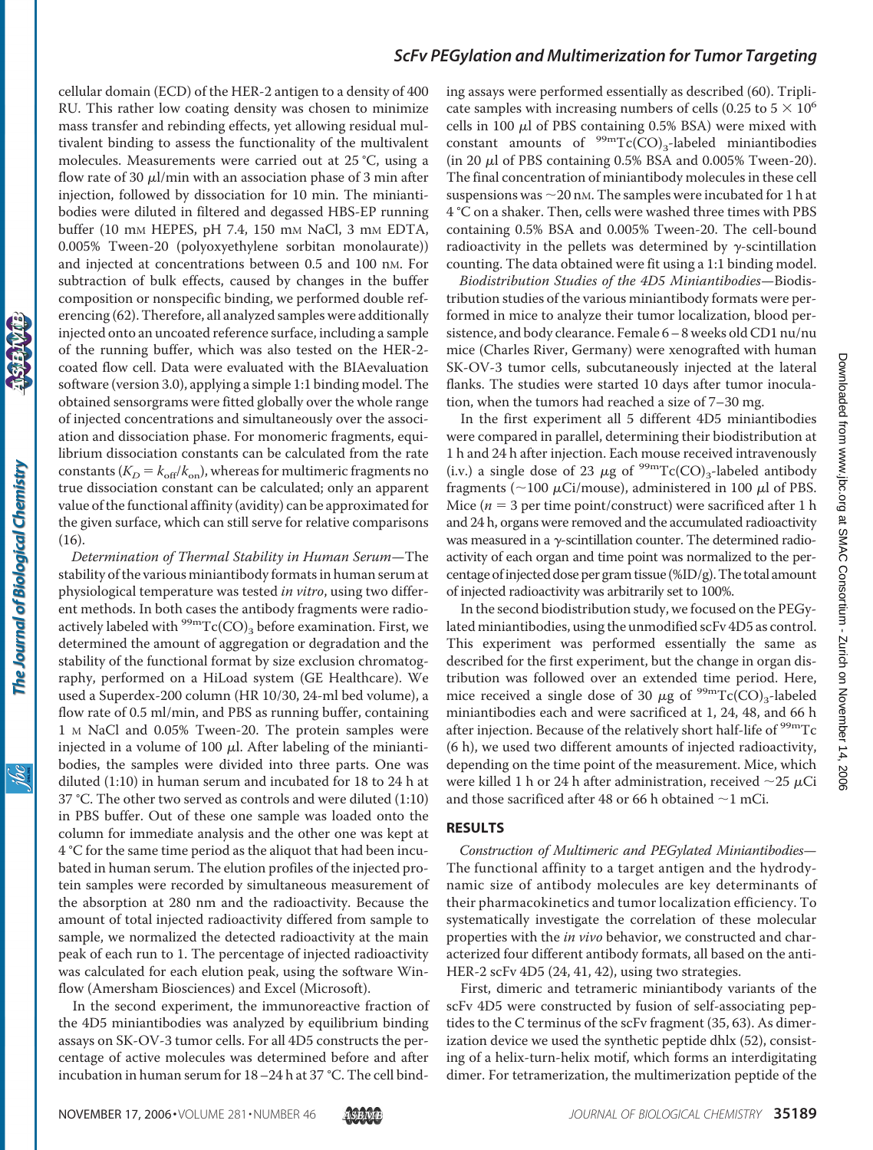cellular domain (ECD) of the HER-2 antigen to a density of 400 RU. This rather low coating density was chosen to minimize mass transfer and rebinding effects, yet allowing residual multivalent binding to assess the functionality of the multivalent molecules. Measurements were carried out at 25 °C, using a flow rate of 30  $\mu$ l/min with an association phase of 3 min after injection, followed by dissociation for 10 min. The miniantibodies were diluted in filtered and degassed HBS-EP running buffer (10 mm HEPES, pH 7.4, 150 mm NaCl, 3 mm EDTA, 0.005% Tween-20 (polyoxyethylene sorbitan monolaurate)) and injected at concentrations between 0.5 and 100 nM. For subtraction of bulk effects, caused by changes in the buffer composition or nonspecific binding, we performed double referencing (62). Therefore, all analyzed samples were additionally injected onto an uncoated reference surface, including a sample of the running buffer, which was also tested on the HER-2 coated flow cell. Data were evaluated with the BIAevaluation software (version 3.0), applying a simple 1:1 binding model. The obtained sensorgrams were fitted globally over the whole range of injected concentrations and simultaneously over the association and dissociation phase. For monomeric fragments, equilibrium dissociation constants can be calculated from the rate constants ( $K_D = k_{\text{off}}/k_{\text{on}}$ ), whereas for multimeric fragments no true dissociation constant can be calculated; only an apparent value of the functional affinity (avidity) can be approximated for the given surface, which can still serve for relative comparisons (16).

*Determination of Thermal Stability in Human Serum*—The stability of the various miniantibody formats in human serum at physiological temperature was tested *in vitro*, using two different methods. In both cases the antibody fragments were radioactively labeled with  $\rm{^{99m}Tc(CO)}_3$  before examination. First, we determined the amount of aggregation or degradation and the stability of the functional format by size exclusion chromatography, performed on a HiLoad system (GE Healthcare). We used a Superdex-200 column (HR 10/30, 24-ml bed volume), a flow rate of 0.5 ml/min, and PBS as running buffer, containing 1 M NaCl and 0.05% Tween-20. The protein samples were injected in a volume of 100  $\mu$ l. After labeling of the miniantibodies, the samples were divided into three parts. One was diluted (1:10) in human serum and incubated for 18 to 24 h at 37 °C. The other two served as controls and were diluted (1:10) in PBS buffer. Out of these one sample was loaded onto the column for immediate analysis and the other one was kept at 4 °C for the same time period as the aliquot that had been incubated in human serum. The elution profiles of the injected protein samples were recorded by simultaneous measurement of the absorption at 280 nm and the radioactivity. Because the amount of total injected radioactivity differed from sample to sample, we normalized the detected radioactivity at the main peak of each run to 1. The percentage of injected radioactivity was calculated for each elution peak, using the software Winflow (Amersham Biosciences) and Excel (Microsoft).

In the second experiment, the immunoreactive fraction of the 4D5 miniantibodies was analyzed by equilibrium binding assays on SK-OV-3 tumor cells. For all 4D5 constructs the percentage of active molecules was determined before and after incubation in human serum for 18–24 h at 37 °C. The cell binding assays were performed essentially as described (60). Triplicate samples with increasing numbers of cells (0.25 to  $5 \times 10^6$ ) cells in 100  $\mu$ l of PBS containing 0.5% BSA) were mixed with constant amounts of  $\rm{^{99m}Tc(CO)_3}$ -labeled miniantibodies (in 20  $\mu$ l of PBS containing 0.5% BSA and 0.005% Tween-20). The final concentration of miniantibody molecules in these cell suspensions was  $\sim$  20 nm. The samples were incubated for 1 h at 4 °C on a shaker. Then, cells were washed three times with PBS containing 0.5% BSA and 0.005% Tween-20. The cell-bound radioactivity in the pellets was determined by  $\gamma$ -scintillation counting. The data obtained were fit using a 1:1 binding model.

*Biodistribution Studies of the 4D5 Miniantibodies*—Biodistribution studies of the various miniantibody formats were performed in mice to analyze their tumor localization, blood persistence, and body clearance. Female 6– 8 weeks old CD1 nu/nu mice (Charles River, Germany) were xenografted with human SK-OV-3 tumor cells, subcutaneously injected at the lateral flanks. The studies were started 10 days after tumor inoculation, when the tumors had reached a size of 7–30 mg.

In the first experiment all 5 different 4D5 miniantibodies were compared in parallel, determining their biodistribution at 1 h and 24 h after injection. Each mouse received intravenously (i.v.) a single dose of 23  $\mu$ g of <sup>99m</sup>Tc(CO)<sub>3</sub>-labeled antibody fragments ( $\sim$ 100  $\mu$ Ci/mouse), administered in 100  $\mu$ l of PBS. Mice  $(n = 3$  per time point/construct) were sacrificed after 1 h and 24 h, organs were removed and the accumulated radioactivity was measured in a  $\gamma$ -scintillation counter. The determined radioactivity of each organ and time point was normalized to the percentage of injected dose per gram tissue (%ID/g). The total amount of injected radioactivity was arbitrarily set to 100%.

In the second biodistribution study, we focused on the PEGylated miniantibodies, using the unmodified scFv 4D5 as control. This experiment was performed essentially the same as described for the first experiment, but the change in organ distribution was followed over an extended time period. Here, mice received a single dose of 30  $\mu$ g of <sup>99m</sup>Tc(CO)<sub>3</sub>-labeled miniantibodies each and were sacrificed at 1, 24, 48, and 66 h after injection. Because of the relatively short half-life of <sup>99m</sup>Tc (6 h), we used two different amounts of injected radioactivity, depending on the time point of the measurement. Mice, which were killed 1 h or 24 h after administration, received  $\sim$ 25  $\mu$ Ci and those sacrificed after 48 or 66 h obtained  $\sim$ 1 mCi.

#### **RESULTS**

*Construction of Multimeric and PEGylated Miniantibodies*— The functional affinity to a target antigen and the hydrodynamic size of antibody molecules are key determinants of their pharmacokinetics and tumor localization efficiency. To systematically investigate the correlation of these molecular properties with the *in vivo* behavior, we constructed and characterized four different antibody formats, all based on the anti-HER-2 scFv 4D5 (24, 41, 42), using two strategies.

First, dimeric and tetrameric miniantibody variants of the scFv 4D5 were constructed by fusion of self-associating peptides to the C terminus of the scFv fragment (35, 63). As dimerization device we used the synthetic peptide dhlx (52), consisting of a helix-turn-helix motif, which forms an interdigitating dimer. For tetramerization, the multimerization peptide of the

<u>жі</u>

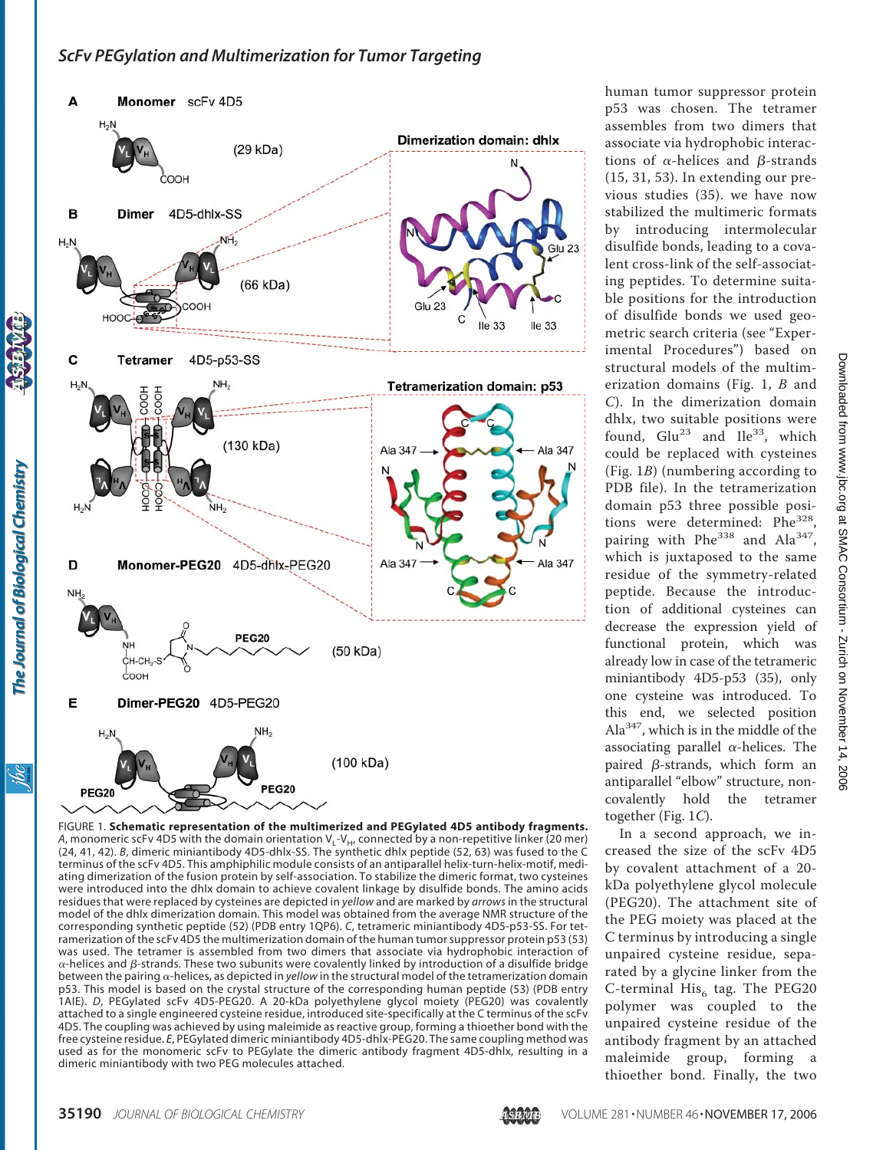

FIGURE 1. **Schematic representation of the multimerized and PEGylated 4D5 antibody fragments.** *A*, monomeric scFv 4D5 with the domain orientation  $V_L$ - $V_H$ , connected by a non-repetitive linker (20 mer) (24, 41, 42). *B*, dimeric miniantibody 4D5-dhlx-SS. The synthetic dhlx peptide (52, 63) was fused to the C terminus of the scFv 4D5. This amphiphilic module consists of an antiparallel helix-turn-helix-motif, mediating dimerization of the fusion protein by self-association. To stabilize the dimeric format, two cysteines were introduced into the dhlx domain to achieve covalent linkage by disulfide bonds. The amino acids residues that were replaced by cysteines are depicted in *yellow* and are marked by *arrows* in the structural model of the dhlx dimerization domain. This model was obtained from the average NMR structure of the corresponding synthetic peptide (52) (PDB entry 1QP6). *C*, tetrameric miniantibody 4D5-p53-SS. For tetramerization of the scFv 4D5 the multimerization domain of the human tumor suppressor protein p53 (53) was used. The tetramer is assembled from two dimers that associate via hydrophobic interaction of  $\alpha$ -helices and  $\beta$ -strands. These two subunits were covalently linked by introduction of a disulfide bridge between the pairing  $\alpha$ -helices, as depicted in *yellow* in the structural model of the tetramerization domain p53. This model is based on the crystal structure of the corresponding human peptide (53) (PDB entry 1AIE). *D*, PEGylated scFv 4D5-PEG20. A 20-kDa polyethylene glycol moiety (PEG20) was covalently attached to a single engineered cysteine residue, introduced site-specifically at the C terminus of the scFv 4D5. The coupling was achieved by using maleimide as reactive group, forming a thioether bond with the free cysteine residue. *E*, PEGylated dimeric miniantibody 4D5-dhlx-PEG20. The same coupling method was used as for the monomeric scFv to PEGylate the dimeric antibody fragment 4D5-dhlx, resulting in a dimeric miniantibody with two PEG molecules attached.

human tumor suppressor protein p53 was chosen. The tetramer assembles from two dimers that associate via hydrophobic interactions of  $\alpha$ -helices and  $\beta$ -strands (15, 31, 53). In extending our previous studies (35). we have now stabilized the multimeric formats by introducing intermolecular disulfide bonds, leading to a covalent cross-link of the self-associating peptides. To determine suitable positions for the introduction of disulfide bonds we used geometric search criteria (see "Experimental Procedures") based on structural models of the multimerization domains (Fig. 1, *B* and *C*). In the dimerization domain dhlx, two suitable positions were found,  $Glu^{23}$  and  $Ile^{33}$ , which could be replaced with cysteines (Fig. 1*B*) (numbering according to PDB file). In the tetramerization domain p53 three possible positions were determined: Phe<sup>328</sup> pairing with  $Phe^{338}$  and  $Ala^{347}$ , which is juxtaposed to the same residue of the symmetry-related peptide. Because the introduction of additional cysteines can decrease the expression yield of functional protein, which was already low in case of the tetrameric miniantibody 4D5-p53 (35), only one cysteine was introduced. To this end, we selected position Ala347, which is in the middle of the associating parallel  $\alpha$ -helices. The paired  $\beta$ -strands, which form an antiparallel "elbow" structure, noncovalently hold the tetramer together (Fig. 1*C*).

In a second approach, we increased the size of the scFv 4D5 by covalent attachment of a 20 kDa polyethylene glycol molecule (PEG20). The attachment site of the PEG moiety was placed at the C terminus by introducing a single unpaired cysteine residue, separated by a glycine linker from the C-terminal  $His<sub>6</sub>$  tag. The PEG20 polymer was coupled to the unpaired cysteine residue of the antibody fragment by an attached maleimide group, forming a thioether bond. Finally, the two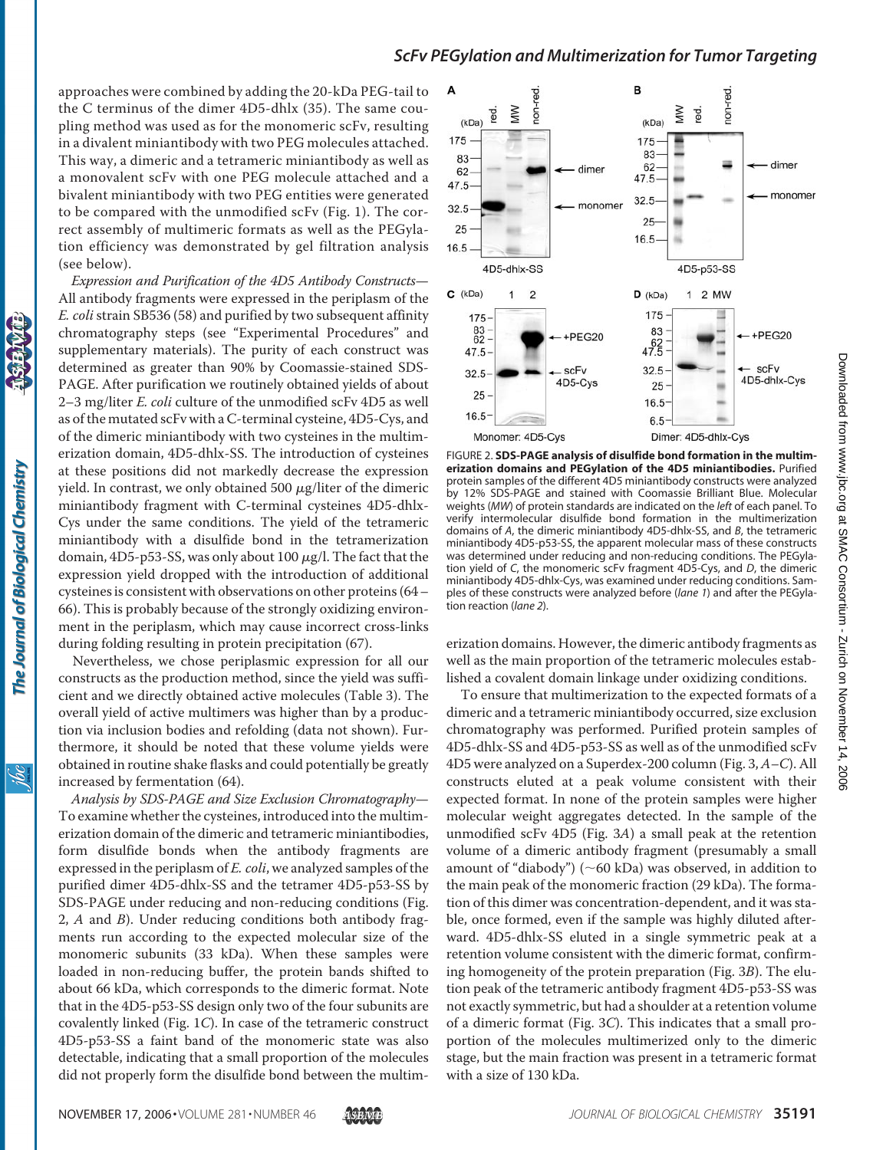approaches were combined by adding the 20-kDa PEG-tail to the C terminus of the dimer 4D5-dhlx (35). The same coupling method was used as for the monomeric scFv, resulting in a divalent miniantibody with two PEG molecules attached. This way, a dimeric and a tetrameric miniantibody as well as a monovalent scFv with one PEG molecule attached and a bivalent miniantibody with two PEG entities were generated to be compared with the unmodified scFv (Fig. 1). The correct assembly of multimeric formats as well as the PEGylation efficiency was demonstrated by gel filtration analysis (see below).

*Expression and Purification of the 4D5 Antibody Constructs*— All antibody fragments were expressed in the periplasm of the *E. coli*strain SB536 (58) and purified by two subsequent affinity chromatography steps (see "Experimental Procedures" and supplementary materials). The purity of each construct was determined as greater than 90% by Coomassie-stained SDS-PAGE. After purification we routinely obtained yields of about 2–3 mg/liter *E. coli* culture of the unmodified scFv 4D5 as well as of the mutated scFv with a C-terminal cysteine, 4D5-Cys, and of the dimeric miniantibody with two cysteines in the multimerization domain, 4D5-dhlx-SS. The introduction of cysteines at these positions did not markedly decrease the expression yield. In contrast, we only obtained 500  $\mu$ g/liter of the dimeric miniantibody fragment with C-terminal cysteines 4D5-dhlx-Cys under the same conditions. The yield of the tetrameric miniantibody with a disulfide bond in the tetramerization domain, 4D5-p53-SS, was only about 100  $\mu$ g/l. The fact that the expression yield dropped with the introduction of additional cysteines is consistent with observations on other proteins (64– 66). This is probably because of the strongly oxidizing environment in the periplasm, which may cause incorrect cross-links during folding resulting in protein precipitation (67).

Nevertheless, we chose periplasmic expression for all our constructs as the production method, since the yield was sufficient and we directly obtained active molecules (Table 3). The overall yield of active multimers was higher than by a production via inclusion bodies and refolding (data not shown). Furthermore, it should be noted that these volume yields were obtained in routine shake flasks and could potentially be greatly increased by fermentation (64).

*Analysis by SDS-PAGE and Size Exclusion Chromatography*— To examine whether the cysteines, introduced into the multimerization domain of the dimeric and tetrameric miniantibodies, form disulfide bonds when the antibody fragments are expressed in the periplasm of *E. coli*, we analyzed samples of the purified dimer 4D5-dhlx-SS and the tetramer 4D5-p53-SS by SDS-PAGE under reducing and non-reducing conditions (Fig. 2, *A* and *B*). Under reducing conditions both antibody fragments run according to the expected molecular size of the monomeric subunits (33 kDa). When these samples were loaded in non-reducing buffer, the protein bands shifted to about 66 kDa, which corresponds to the dimeric format. Note that in the 4D5-p53-SS design only two of the four subunits are covalently linked (Fig. 1*C*). In case of the tetrameric construct 4D5-p53-SS a faint band of the monomeric state was also detectable, indicating that a small proportion of the molecules did not properly form the disulfide bond between the multim-



FIGURE 2. **SDS-PAGE analysis of disulfide bond formation in the multimerization domains and PEGylation of the 4D5 miniantibodies.** Purified protein samples of the different 4D5 miniantibody constructs were analyzed by 12% SDS-PAGE and stained with Coomassie Brilliant Blue. Molecular weights (*MW*) of protein standards are indicated on the *left* of each panel. To verify intermolecular disulfide bond formation in the multimerization domains of *A*, the dimeric miniantibody 4D5-dhlx-SS, and *B*, the tetrameric miniantibody 4D5-p53-SS, the apparent molecular mass of these constructs was determined under reducing and non-reducing conditions. The PEGylation yield of *C*, the monomeric scFv fragment 4D5-Cys, and *D*, the dimeric miniantibody 4D5-dhlx-Cys, was examined under reducing conditions. Samples of these constructs were analyzed before (*lane 1*) and after the PEGylation reaction (*lane 2*).

erization domains. However, the dimeric antibody fragments as well as the main proportion of the tetrameric molecules established a covalent domain linkage under oxidizing conditions.

To ensure that multimerization to the expected formats of a dimeric and a tetrameric miniantibody occurred, size exclusion chromatography was performed. Purified protein samples of 4D5-dhlx-SS and 4D5-p53-SS as well as of the unmodified scFv 4D5 were analyzed on a Superdex-200 column (Fig. 3, *A–C*). All constructs eluted at a peak volume consistent with their expected format. In none of the protein samples were higher molecular weight aggregates detected. In the sample of the unmodified scFv 4D5 (Fig. 3*A*) a small peak at the retention volume of a dimeric antibody fragment (presumably a small amount of "diabody") ( $\sim$  60 kDa) was observed, in addition to the main peak of the monomeric fraction (29 kDa). The formation of this dimer was concentration-dependent, and it was stable, once formed, even if the sample was highly diluted afterward. 4D5-dhlx-SS eluted in a single symmetric peak at a retention volume consistent with the dimeric format, confirming homogeneity of the protein preparation (Fig. 3*B*). The elution peak of the tetrameric antibody fragment 4D5-p53-SS was not exactly symmetric, but had a shoulder at a retention volume of a dimeric format (Fig. 3*C*). This indicates that a small proportion of the molecules multimerized only to the dimeric stage, but the main fraction was present in a tetrameric format with a size of 130 kDa.

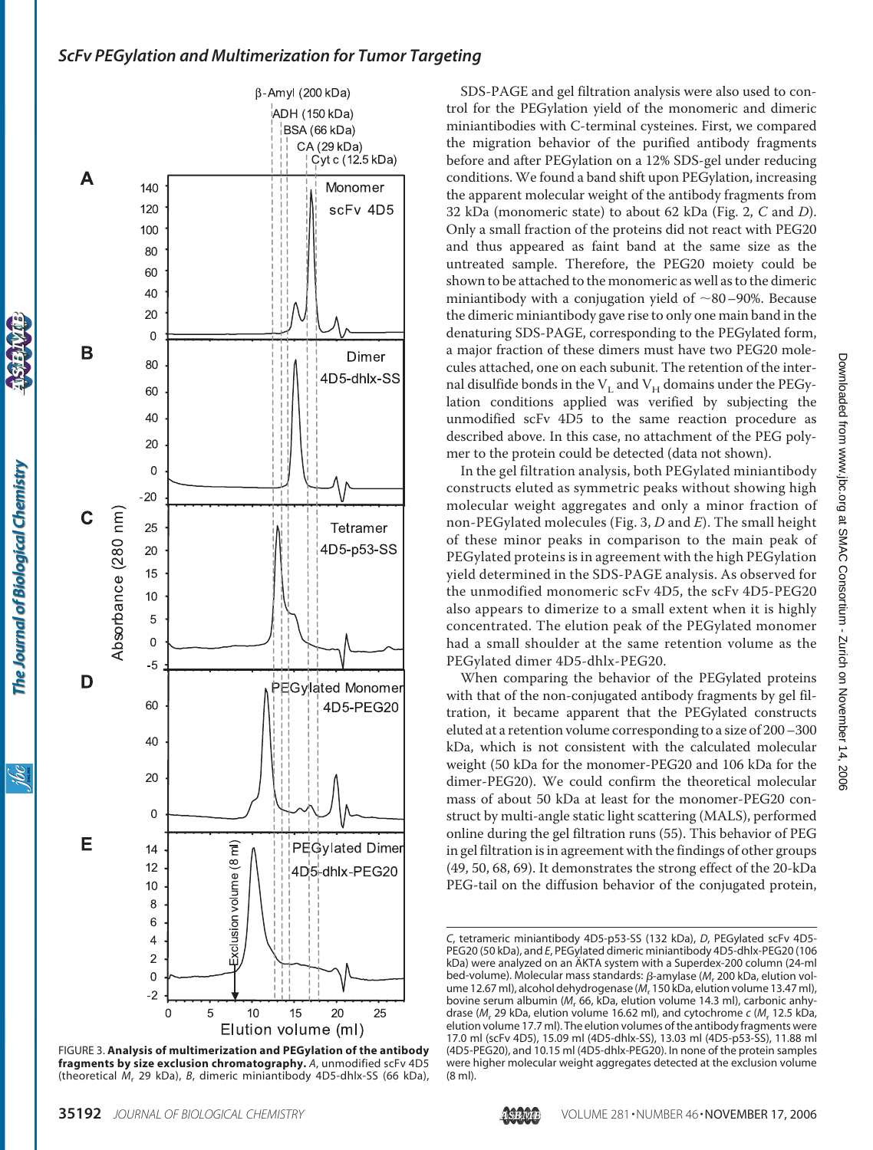

The Journal of Biological Chemistry

ibc

FIGURE 3. **Analysis of multimerization and PEGylation of the antibody fragments by size exclusion chromatography.** *A*, unmodified scFv 4D5 (theoretical *M*<sup>r</sup> 29 kDa), *B*, dimeric miniantibody 4D5-dhlx-SS (66 kDa),

SDS-PAGE and gel filtration analysis were also used to control for the PEGylation yield of the monomeric and dimeric miniantibodies with C-terminal cysteines. First, we compared the migration behavior of the purified antibody fragments before and after PEGylation on a 12% SDS-gel under reducing conditions. We found a band shift upon PEGylation, increasing the apparent molecular weight of the antibody fragments from 32 kDa (monomeric state) to about 62 kDa (Fig. 2, *C* and *D*). Only a small fraction of the proteins did not react with PEG20 and thus appeared as faint band at the same size as the untreated sample. Therefore, the PEG20 moiety could be shown to be attached to the monomeric as well as to the dimeric miniantibody with a conjugation yield of  $\sim 80-90\%$ . Because the dimeric miniantibody gave rise to only one main band in the denaturing SDS-PAGE, corresponding to the PEGylated form, a major fraction of these dimers must have two PEG20 molecules attached, one on each subunit. The retention of the internal disulfide bonds in the  $V_L$  and  $V_H$  domains under the PEGylation conditions applied was verified by subjecting the unmodified scFv 4D5 to the same reaction procedure as described above. In this case, no attachment of the PEG polymer to the protein could be detected (data not shown).

In the gel filtration analysis, both PEGylated miniantibody constructs eluted as symmetric peaks without showing high molecular weight aggregates and only a minor fraction of non-PEGylated molecules (Fig. 3, *D* and *E*). The small height of these minor peaks in comparison to the main peak of PEGylated proteins is in agreement with the high PEGylation yield determined in the SDS-PAGE analysis. As observed for the unmodified monomeric scFv 4D5, the scFv 4D5-PEG20 also appears to dimerize to a small extent when it is highly concentrated. The elution peak of the PEGylated monomer had a small shoulder at the same retention volume as the PEGylated dimer 4D5-dhlx-PEG20.

When comparing the behavior of the PEGylated proteins with that of the non-conjugated antibody fragments by gel filtration, it became apparent that the PEGylated constructs eluted at a retention volume corresponding to a size of 200–300 kDa, which is not consistent with the calculated molecular weight (50 kDa for the monomer-PEG20 and 106 kDa for the dimer-PEG20). We could confirm the theoretical molecular mass of about 50 kDa at least for the monomer-PEG20 construct by multi-angle static light scattering (MALS), performed online during the gel filtration runs (55). This behavior of PEG in gel filtration is in agreement with the findings of other groups (49, 50, 68, 69). It demonstrates the strong effect of the 20-kDa PEG-tail on the diffusion behavior of the conjugated protein,



*C*, tetrameric miniantibody 4D5-p53-SS (132 kDa), *D*, PEGylated scFv 4D5- PEG20 (50 kDa), and *E*, PEGylated dimeric miniantibody 4D5-dhlx-PEG20 (106 kDa) were analyzed on an ÄKTA system with a Superdex-200 column (24-ml bed-volume). Molecular mass standards: β-amylase (M<sub>r</sub> 200 kDa, elution volume 12.67 ml), alcohol dehydrogenase (*M*<sup>r</sup> 150 kDa, elution volume 13.47 ml), bovine serum albumin (M<sub>r</sub> 66, KDa, elution volume 14.3 ml), carbonic anhydrase (*M<sub>r</sub>* 29 kDa, elution volume 16.62 ml), and cytochrome *c* (*M<sub>r</sub>* 12.5 kDa, elution volume 17.7 ml). The elution volumes of the antibody fragments were 17.0 ml (scFv 4D5), 15.09 ml (4D5-dhlx-SS), 13.03 ml (4D5-p53-SS), 11.88 ml (4D5-PEG20), and 10.15 ml (4D5-dhlx-PEG20). In none of the protein samples were higher molecular weight aggregates detected at the exclusion volume (8 ml).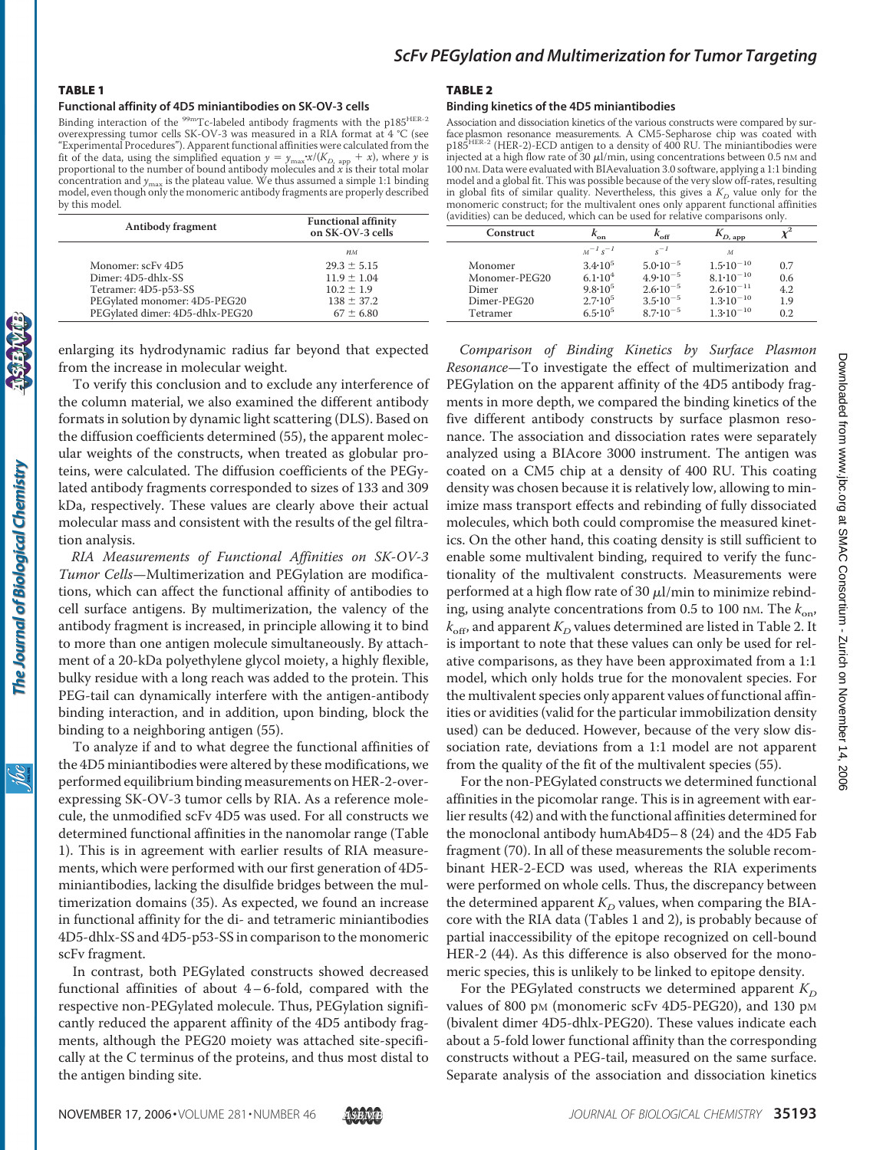#### TABLE 1

#### **Functional affinity of 4D5 miniantibodies on SK-OV-3 cells**

Binding interaction of the  $\rm{^{99m}Tc\text{-}labeled}$  antibody fragments with the p185<sup>HER-2</sup> overexpressing tumor cells SK-OV-3 was measured in a RIA format at 4 °C (see "Experimental Procedures"). Apparent functional affinities were calculated from the fit of the data, using the simplified equation  $y = y_{\text{max}} \cdot x/(K_{D, \text{ app}} + x)$ , where *y* is proportional to the number of bound antibody molecules and *x* is their total molar concentration and *y*max is the plateau value. We thus assumed a simple 1:1 binding model, even though only the monomeric antibody fragments are properly described by this model.

| Antibody fragment               | <b>Functional affinity</b><br>on SK-OV-3 cells |  |  |
|---------------------------------|------------------------------------------------|--|--|
|                                 | $n_M$                                          |  |  |
| Monomer: scFy 4D5               | $29.3 \pm 5.15$                                |  |  |
| Dimer: 4D5-dhlx-SS              | $11.9 \pm 1.04$                                |  |  |
| Tetramer: 4D5-p53-SS            | $10.2 \pm 1.9$                                 |  |  |
| PEGylated monomer: 4D5-PEG20    | $138 \pm 37.2$                                 |  |  |
| PEGylated dimer: 4D5-dhlx-PEG20 | $67 \pm 6.80$                                  |  |  |

enlarging its hydrodynamic radius far beyond that expected from the increase in molecular weight.

To verify this conclusion and to exclude any interference of the column material, we also examined the different antibody formats in solution by dynamic light scattering (DLS). Based on the diffusion coefficients determined (55), the apparent molecular weights of the constructs, when treated as globular proteins, were calculated. The diffusion coefficients of the PEGylated antibody fragments corresponded to sizes of 133 and 309 kDa, respectively. These values are clearly above their actual molecular mass and consistent with the results of the gel filtration analysis.

*RIA Measurements of Functional Affinities on SK-OV-3 Tumor Cells*—Multimerization and PEGylation are modifications, which can affect the functional affinity of antibodies to cell surface antigens. By multimerization, the valency of the antibody fragment is increased, in principle allowing it to bind to more than one antigen molecule simultaneously. By attachment of a 20-kDa polyethylene glycol moiety, a highly flexible, bulky residue with a long reach was added to the protein. This PEG-tail can dynamically interfere with the antigen-antibody binding interaction, and in addition, upon binding, block the binding to a neighboring antigen (55).

To analyze if and to what degree the functional affinities of the 4D5 miniantibodies were altered by these modifications, we performed equilibrium binding measurements on HER-2-overexpressing SK-OV-3 tumor cells by RIA. As a reference molecule, the unmodified scFv 4D5 was used. For all constructs we determined functional affinities in the nanomolar range (Table 1). This is in agreement with earlier results of RIA measurements, which were performed with our first generation of 4D5 miniantibodies, lacking the disulfide bridges between the multimerization domains (35). As expected, we found an increase in functional affinity for the di- and tetrameric miniantibodies 4D5-dhlx-SS and 4D5-p53-SS in comparison to the monomeric scFv fragment.

In contrast, both PEGylated constructs showed decreased functional affinities of about 4– 6-fold, compared with the respective non-PEGylated molecule. Thus, PEGylation significantly reduced the apparent affinity of the 4D5 antibody fragments, although the PEG20 moiety was attached site-specifically at the C terminus of the proteins, and thus most distal to the antigen binding site.

#### TABLE 2

#### **Binding kinetics of the 4D5 miniantibodies**

Association and dissociation kinetics of the various constructs were compared by surface plasmon resonance measurements. A CM5-Sepharose chip was coated with<br>p185<sup>HER-2</sup> (HER-2)-ECD antigen to a density of 400 RU. The miniantibodies were injected at a high flow rate of 30  $\mu$ l/min, using concentrations between 0.5 nm and 100 nM. Data were evaluated with BIAevaluation 3.0 software, applying a 1:1 binding model and a global fit. This was possible because of the very slow off-rates, resulting in global fits of similar quality. Nevertheless, this gives a  $K_D$  value only for the monomeric construct; for the multivalent ones only apparent functional affinities (avidities) can be deduced, which can be used for relative comparisons only.

| avidities) can be deduced, which can be used for relative comparisons only. |                          |                     |                      |     |  |
|-----------------------------------------------------------------------------|--------------------------|---------------------|----------------------|-----|--|
| Construct                                                                   | $\kappa_{\rm on}$        | $k_{\rm off}$       | $K_{D, \text{ app}}$ |     |  |
|                                                                             | $M^{-1}$ s <sup>-1</sup> | $s^{-1}$            | $\mathcal M$         |     |  |
| Monomer                                                                     | $3.4 \cdot 10^5$         | $5.0 \cdot 10^{-5}$ | $1.5 \cdot 10^{-10}$ | 0.7 |  |
| Monomer-PEG20                                                               | $6.1 \cdot 10^{4}$       | $4.9 \cdot 10^{-5}$ | $8.1 \cdot 10^{-10}$ | 0.6 |  |
| Dimer                                                                       | $9.8 \cdot 10^5$         | $2.6 \cdot 10^{-5}$ | $2.6 \cdot 10^{-11}$ | 4.2 |  |
| Dimer-PEG20                                                                 | $2.7 \cdot 10^5$         | $3.5 \cdot 10^{-5}$ | $1.3 \cdot 10^{-10}$ | 1.9 |  |
| Tetramer                                                                    | $6.5 \cdot 10^5$         | $8.7 \cdot 10^{-5}$ | $1.3 \cdot 10^{-10}$ | 0.2 |  |
|                                                                             |                          |                     |                      |     |  |

*Comparison of Binding Kinetics by Surface Plasmon Resonance*—To investigate the effect of multimerization and PEGylation on the apparent affinity of the 4D5 antibody fragments in more depth, we compared the binding kinetics of the five different antibody constructs by surface plasmon resonance. The association and dissociation rates were separately analyzed using a BIAcore 3000 instrument. The antigen was coated on a CM5 chip at a density of 400 RU. This coating density was chosen because it is relatively low, allowing to minimize mass transport effects and rebinding of fully dissociated molecules, which both could compromise the measured kinetics. On the other hand, this coating density is still sufficient to enable some multivalent binding, required to verify the functionality of the multivalent constructs. Measurements were performed at a high flow rate of 30  $\mu$ l/min to minimize rebinding, using analyte concentrations from 0.5 to 100 nm. The  $k_{on}$ ,  $k<sub>off</sub>$ , and apparent  $K<sub>D</sub>$  values determined are listed in Table 2. It is important to note that these values can only be used for relative comparisons, as they have been approximated from a 1:1 model, which only holds true for the monovalent species. For the multivalent species only apparent values of functional affinities or avidities (valid for the particular immobilization density used) can be deduced. However, because of the very slow dissociation rate, deviations from a 1:1 model are not apparent from the quality of the fit of the multivalent species (55).

For the non-PEGylated constructs we determined functional affinities in the picomolar range. This is in agreement with earlier results (42) and with the functional affinities determined for the monoclonal antibody humAb4D5– 8 (24) and the 4D5 Fab fragment (70). In all of these measurements the soluble recombinant HER-2-ECD was used, whereas the RIA experiments were performed on whole cells. Thus, the discrepancy between the determined apparent  $K_D$  values, when comparing the BIAcore with the RIA data (Tables 1 and 2), is probably because of partial inaccessibility of the epitope recognized on cell-bound HER-2 (44). As this difference is also observed for the monomeric species, this is unlikely to be linked to epitope density.

For the PEGylated constructs we determined apparent  $K_D$ values of 800 pM (monomeric scFv 4D5-PEG20), and 130 pM (bivalent dimer 4D5-dhlx-PEG20). These values indicate each about a 5-fold lower functional affinity than the corresponding constructs without a PEG-tail, measured on the same surface. Separate analysis of the association and dissociation kinetics

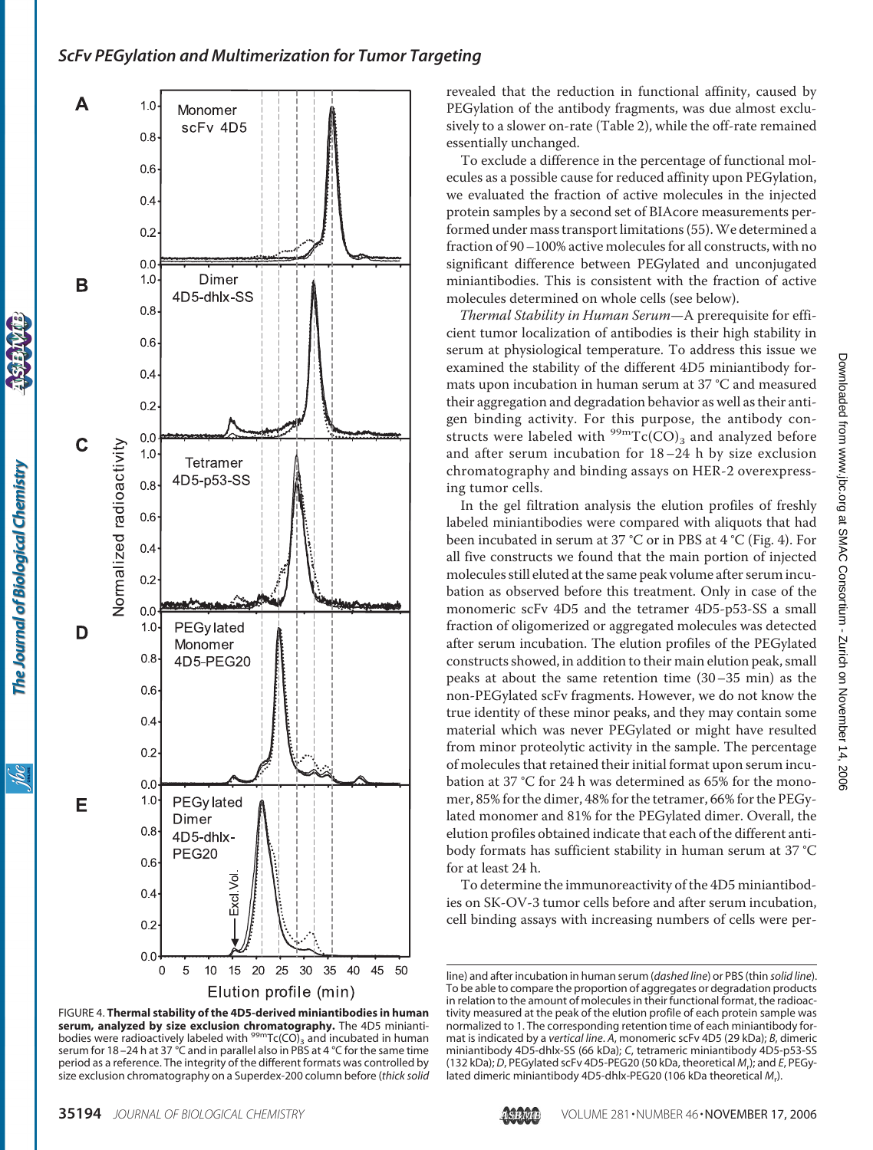



revealed that the reduction in functional affinity, caused by PEGylation of the antibody fragments, was due almost exclusively to a slower on-rate (Table 2), while the off-rate remained essentially unchanged.

To exclude a difference in the percentage of functional molecules as a possible cause for reduced affinity upon PEGylation, we evaluated the fraction of active molecules in the injected protein samples by a second set of BIAcore measurements performed under mass transport limitations (55).We determined a fraction of 90–100% active molecules for all constructs, with no significant difference between PEGylated and unconjugated miniantibodies. This is consistent with the fraction of active molecules determined on whole cells (see below).

*Thermal Stability in Human Serum*—A prerequisite for efficient tumor localization of antibodies is their high stability in serum at physiological temperature. To address this issue we examined the stability of the different 4D5 miniantibody formats upon incubation in human serum at 37 °C and measured their aggregation and degradation behavior as well as their antigen binding activity. For this purpose, the antibody constructs were labeled with  $^{99m}Tc(CO)$ <sub>3</sub> and analyzed before and after serum incubation for 18–24 h by size exclusion chromatography and binding assays on HER-2 overexpressing tumor cells.

In the gel filtration analysis the elution profiles of freshly labeled miniantibodies were compared with aliquots that had been incubated in serum at 37 °C or in PBS at 4 °C (Fig. 4). For all five constructs we found that the main portion of injected molecules still eluted at the same peak volume after serum incubation as observed before this treatment. Only in case of the monomeric scFv 4D5 and the tetramer 4D5-p53-SS a small fraction of oligomerized or aggregated molecules was detected after serum incubation. The elution profiles of the PEGylated constructs showed, in addition to their main elution peak, small peaks at about the same retention time (30–35 min) as the non-PEGylated scFv fragments. However, we do not know the true identity of these minor peaks, and they may contain some material which was never PEGylated or might have resulted from minor proteolytic activity in the sample. The percentage of molecules that retained their initial format upon serum incubation at 37 °C for 24 h was determined as 65% for the monomer, 85% for the dimer, 48% for the tetramer, 66% for the PEGylated monomer and 81% for the PEGylated dimer. Overall, the elution profiles obtained indicate that each of the different antibody formats has sufficient stability in human serum at 37 °C for at least 24 h.

To determine the immunoreactivity of the 4D5 miniantibodies on SK-OV-3 tumor cells before and after serum incubation, cell binding assays with increasing numbers of cells were per-

ibc



line) and after incubation in human serum (*dashed line*) or PBS (thin *solid line*). To be able to compare the proportion of aggregates or degradation products in relation to the amount of molecules in their functional format, the radioactivity measured at the peak of the elution profile of each protein sample was normalized to 1. The corresponding retention time of each miniantibody format is indicated by a *vertical line*. *A*, monomeric scFv 4D5 (29 kDa); *B*, dimeric miniantibody 4D5-dhlx-SS (66 kDa); *C*, tetrameric miniantibody 4D5-p53-SS (132 kDa); *D*, PEGylated scFv 4D5-PEG20 (50 kDa, theoretical *M*<sup>r</sup> ); and *E*, PEGylated dimeric miniantibody 4D5-dhlx-PEG20 (106 kDa theoretical *M*<sup>r</sup> ).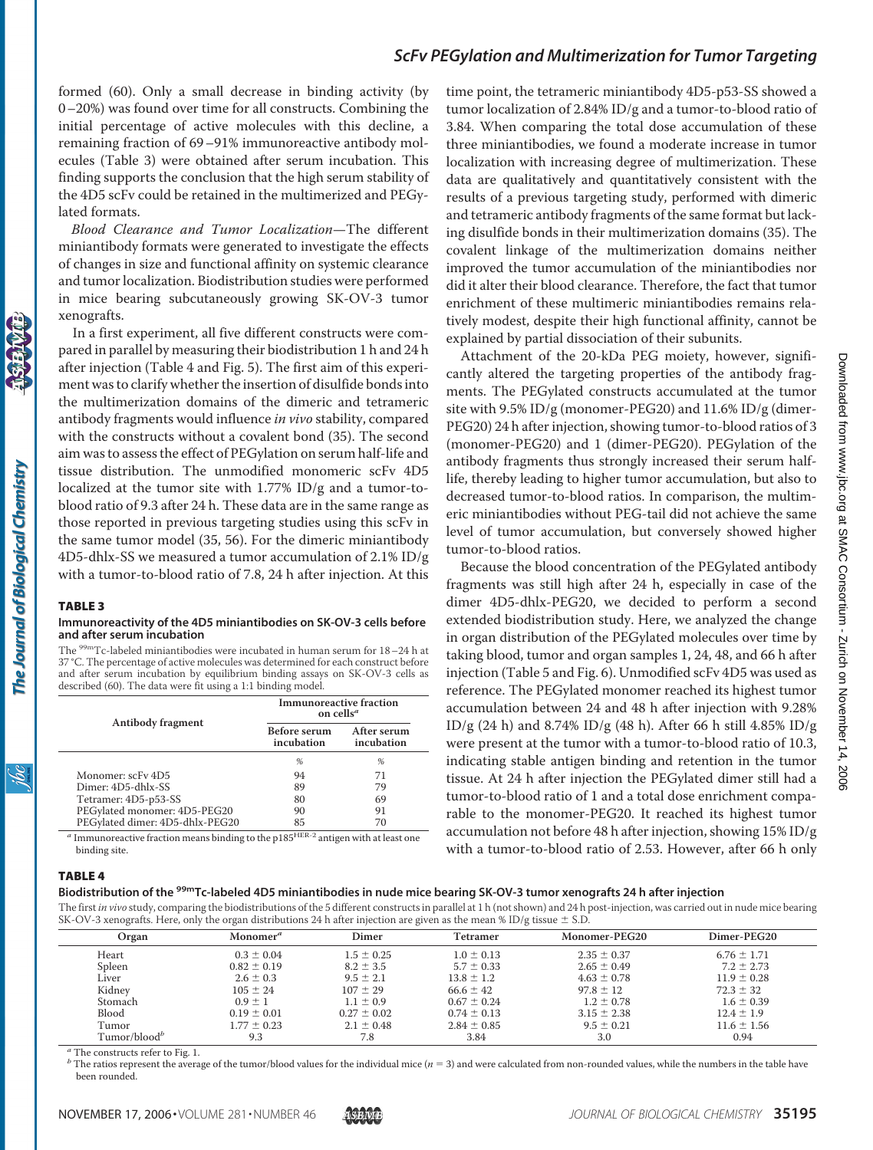formed (60). Only a small decrease in binding activity (by 0–20%) was found over time for all constructs. Combining the initial percentage of active molecules with this decline, a remaining fraction of 69–91% immunoreactive antibody molecules (Table 3) were obtained after serum incubation. This finding supports the conclusion that the high serum stability of the 4D5 scFv could be retained in the multimerized and PEGylated formats.

*Blood Clearance and Tumor Localization*—The different miniantibody formats were generated to investigate the effects of changes in size and functional affinity on systemic clearance and tumor localization. Biodistribution studies were performed in mice bearing subcutaneously growing SK-OV-3 tumor xenografts.

In a first experiment, all five different constructs were compared in parallel by measuring their biodistribution 1 h and 24 h after injection (Table 4 and Fig. 5). The first aim of this experiment was to clarify whether the insertion of disulfide bonds into the multimerization domains of the dimeric and tetrameric antibody fragments would influence *in vivo* stability, compared with the constructs without a covalent bond (35). The second aim was to assess the effect of PEGylation on serum half-life and tissue distribution. The unmodified monomeric scFv 4D5 localized at the tumor site with 1.77% ID/g and a tumor-toblood ratio of 9.3 after 24 h. These data are in the same range as those reported in previous targeting studies using this scFv in the same tumor model (35, 56). For the dimeric miniantibody 4D5-dhlx-SS we measured a tumor accumulation of 2.1% ID/g with a tumor-to-blood ratio of 7.8, 24 h after injection. At this

#### TABLE 3

#### **Immunoreactivity of the 4D5 miniantibodies on SK-OV-3 cells before and after serum incubation**

The  $^{99\rm m}$ Tc-labeled miniantibodies were incubated in human serum for 18–24 h at 37 °C. The percentage of active molecules was determined for each construct before and after serum incubation by equilibrium binding assays on SK-OV-3 cells as described (60). The data were fit using a 1:1 binding model.

|                                 | Immunoreactive fraction<br>on cells <sup><i>a</i></sup> |                           |  |  |
|---------------------------------|---------------------------------------------------------|---------------------------|--|--|
| Antibody fragment               | Before serum<br>incubation                              | After serum<br>incubation |  |  |
|                                 | %                                                       | %                         |  |  |
| Monomer: scFy 4D5               | 94                                                      | 71                        |  |  |
| Dimer: 4D5-dhlx-SS              | 89                                                      | 79                        |  |  |
| Tetramer: 4D5-p53-SS            | 80                                                      | 69                        |  |  |
| PEGylated monomer: 4D5-PEG20    | 90                                                      | 91                        |  |  |
| PEGylated dimer: 4D5-dhlx-PEG20 | 85                                                      | 70                        |  |  |

*<sup>a</sup>* Immunoreactive fraction means binding to the p185HER-2 antigen with at least one binding site.

time point, the tetrameric miniantibody 4D5-p53-SS showed a tumor localization of 2.84% ID/g and a tumor-to-blood ratio of 3.84. When comparing the total dose accumulation of these three miniantibodies, we found a moderate increase in tumor localization with increasing degree of multimerization. These data are qualitatively and quantitatively consistent with the results of a previous targeting study, performed with dimeric and tetrameric antibody fragments of the same format but lacking disulfide bonds in their multimerization domains (35). The covalent linkage of the multimerization domains neither improved the tumor accumulation of the miniantibodies nor did it alter their blood clearance. Therefore, the fact that tumor enrichment of these multimeric miniantibodies remains relatively modest, despite their high functional affinity, cannot be explained by partial dissociation of their subunits.

Attachment of the 20-kDa PEG moiety, however, significantly altered the targeting properties of the antibody fragments. The PEGylated constructs accumulated at the tumor site with 9.5% ID/g (monomer-PEG20) and 11.6% ID/g (dimer-PEG20) 24 h after injection, showing tumor-to-blood ratios of 3 (monomer-PEG20) and 1 (dimer-PEG20). PEGylation of the antibody fragments thus strongly increased their serum halflife, thereby leading to higher tumor accumulation, but also to decreased tumor-to-blood ratios. In comparison, the multimeric miniantibodies without PEG-tail did not achieve the same level of tumor accumulation, but conversely showed higher tumor-to-blood ratios.

Because the blood concentration of the PEGylated antibody fragments was still high after 24 h, especially in case of the dimer 4D5-dhlx-PEG20, we decided to perform a second extended biodistribution study. Here, we analyzed the change in organ distribution of the PEGylated molecules over time by taking blood, tumor and organ samples 1, 24, 48, and 66 h after injection (Table 5 and Fig. 6). Unmodified scFv 4D5 was used as reference. The PEGylated monomer reached its highest tumor accumulation between 24 and 48 h after injection with 9.28% ID/g (24 h) and 8.74% ID/g (48 h). After 66 h still 4.85% ID/g were present at the tumor with a tumor-to-blood ratio of 10.3, indicating stable antigen binding and retention in the tumor tissue. At 24 h after injection the PEGylated dimer still had a tumor-to-blood ratio of 1 and a total dose enrichment comparable to the monomer-PEG20. It reached its highest tumor accumulation not before 48 h after injection, showing 15% ID/g with a tumor-to-blood ratio of 2.53. However, after 66 h only

The Journal of Biological Chemistry

### TABLE 4

## **Biodistribution of the 99mTc-labeled 4D5 miniantibodies in nude mice bearing SK-OV-3 tumor xenografts 24 h after injection**

The first in vivo study, comparing the biodistributions of the 5 different constructs in parallel at 1 h (not shown) and 24 h post-injection, was carried out in nude mice bearing SK-OV-3 xenografts. Here, only the organ distributions 24 h after injection are given as the mean % ID/g tissue  $\pm$  S.D.

| Organ                    | Monomer <sup>a</sup> | Dimer           | Tetramer        | Monomer-PEG20   | Dimer-PEG20     |
|--------------------------|----------------------|-----------------|-----------------|-----------------|-----------------|
| Heart                    | $0.3 \pm 0.04$       | $1.5 \pm 0.25$  | $1.0 \pm 0.13$  | $2.35 \pm 0.37$ | $6.76 \pm 1.71$ |
| Spleen                   | $0.82 \pm 0.19$      | $8.2 \pm 3.5$   | $5.7 \pm 0.33$  | $2.65 \pm 0.49$ | $7.2 \pm 2.73$  |
| Liver                    | $2.6 \pm 0.3$        | $9.5 \pm 2.1$   | $13.8 \pm 1.2$  | $4.63 \pm 0.78$ | $11.9 \pm 0.28$ |
| Kidnev                   | $105 \pm 24$         | $107 \pm 29$    | $66.6 \pm 42$   | $97.8 \pm 12$   | $72.3 \pm 32$   |
| Stomach                  | $0.9 \pm 1$          | $1.1 \pm 0.9$   | $0.67 \pm 0.24$ | $1.2 \pm 0.78$  | $1.6 \pm 0.39$  |
| <b>Blood</b>             | $0.19 \pm 0.01$      | $0.27 \pm 0.02$ | $0.74 \pm 0.13$ | $3.15 \pm 2.38$ | $12.4 \pm 1.9$  |
| Tumor                    | $1.77 \pm 0.23$      | $2.1 \pm 0.48$  | $2.84 \pm 0.85$ | $9.5 \pm 0.21$  | $11.6 \pm 1.56$ |
| Tumor/blood <sup>b</sup> | 9.3                  | 7.8             | 3.84            | 3.0             | 0.94            |

*<sup>a</sup>* The constructs refer to Fig. 1.

*b* The ratios represent the average of the tumor/blood values for the individual mice (*n* = 3) and were calculated from non-rounded values, while the numbers in the table have been rounded.

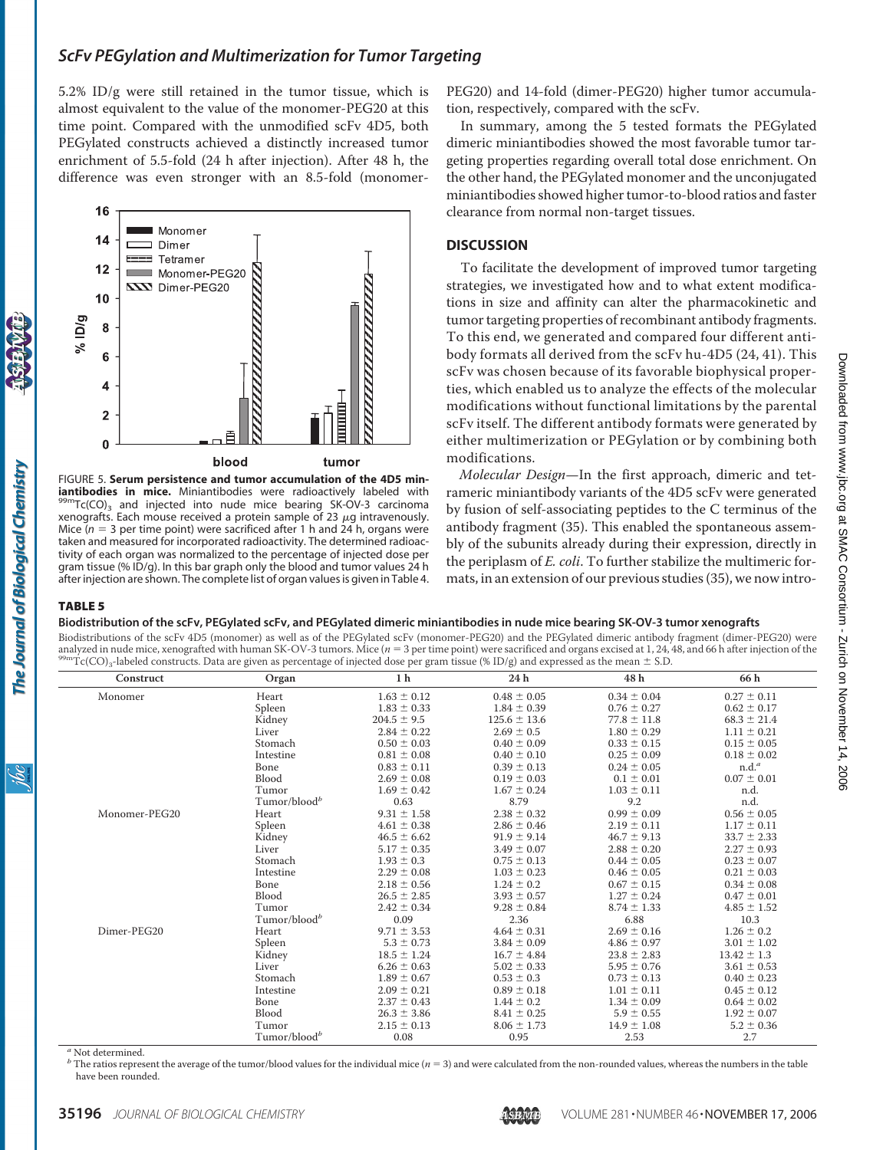5.2% ID/g were still retained in the tumor tissue, which is almost equivalent to the value of the monomer-PEG20 at this time point. Compared with the unmodified scFv 4D5, both PEGylated constructs achieved a distinctly increased tumor enrichment of 5.5-fold (24 h after injection). After 48 h, the difference was even stronger with an 8.5-fold (monomer-



FIGURE 5. **Serum persistence and tumor accumulation of the 4D5 miniantibodies in mice.** Miniantibodies were radioactively labeled with 99mTc(CO)<sub>3</sub> and injected into nude mice bearing SK-OV-3 carcinoma xenografts. Each mouse received a protein sample of 23  $\mu$ g intravenously. Mice  $(n = 3$  per time point) were sacrificed after 1 h and  $24$  h, organs were taken and measured for incorporated radioactivity. The determined radioactivity of each organ was normalized to the percentage of injected dose per gram tissue (% ID/g). In this bar graph only the blood and tumor values 24 h after injection are shown. The complete list of organ values is given in Table 4.

PEG20) and 14-fold (dimer-PEG20) higher tumor accumulation, respectively, compared with the scFv.

In summary, among the 5 tested formats the PEGylated dimeric miniantibodies showed the most favorable tumor targeting properties regarding overall total dose enrichment. On the other hand, the PEGylated monomer and the unconjugated miniantibodies showed higher tumor-to-blood ratios and faster clearance from normal non-target tissues.

#### **DISCUSSION**

To facilitate the development of improved tumor targeting strategies, we investigated how and to what extent modifications in size and affinity can alter the pharmacokinetic and tumor targeting properties of recombinant antibody fragments. To this end, we generated and compared four different antibody formats all derived from the scFv hu-4D5 (24, 41). This scFv was chosen because of its favorable biophysical properties, which enabled us to analyze the effects of the molecular modifications without functional limitations by the parental scFv itself. The different antibody formats were generated by either multimerization or PEGylation or by combining both modifications.

*Molecular Design*—In the first approach, dimeric and tetrameric miniantibody variants of the 4D5 scFv were generated by fusion of self-associating peptides to the C terminus of the antibody fragment (35). This enabled the spontaneous assembly of the subunits already during their expression, directly in the periplasm of *E. coli*. To further stabilize the multimeric formats, in an extension of our previous studies (35), we now intro-

# TABLE 5

**Biodistribution of the scFv, PEGylated scFv, and PEGylated dimeric miniantibodies in nude mice bearing SK-OV-3 tumor xenografts**

Biodistributions of the scFv 4D5 (monomer) as well as of the PEGylated scFv (monomer-PEG20) and the PEGylated dimeric antibody fragment (dimer-PEG20) were analyzed in nude mice, xenografted with human SK-OV-3 tumors. Mice ( $n = 3$  per time point) were sacrificed and organs excised at 1, 24, 48, and 66 h after injection of the

| $1$ C(CO) <sub>3</sub> -labeled constructs. Data are given as percentage of injected dose per gram ussue (% ID/g) and expressed as the mean $\pm$ 5.D. |                          |                 |                  |                 |                   |  |
|--------------------------------------------------------------------------------------------------------------------------------------------------------|--------------------------|-----------------|------------------|-----------------|-------------------|--|
| Construct                                                                                                                                              | Organ                    | 1 <sub>h</sub>  | 24 h             | 48 h            | 66 h              |  |
| Monomer                                                                                                                                                | Heart                    | $1.63 \pm 0.12$ | $0.48 \pm 0.05$  | $0.34 \pm 0.04$ | $0.27 \pm 0.11$   |  |
|                                                                                                                                                        | Spleen                   | $1.83 \pm 0.33$ | $1.84 \pm 0.39$  | $0.76 \pm 0.27$ | $0.62 \pm 0.17$   |  |
|                                                                                                                                                        | Kidney                   | $204.5 \pm 9.5$ | $125.6 \pm 13.6$ | $77.8 \pm 11.8$ | $68.3 \pm 21.4$   |  |
|                                                                                                                                                        | Liver                    | $2.84 \pm 0.22$ | $2.69 \pm 0.5$   | $1.80 \pm 0.29$ | $1.11 \pm 0.21$   |  |
|                                                                                                                                                        | Stomach                  | $0.50 \pm 0.03$ | $0.40 \pm 0.09$  | $0.33 \pm 0.15$ | $0.15 \pm 0.05$   |  |
|                                                                                                                                                        | Intestine                | $0.81 \pm 0.08$ | $0.40 \pm 0.10$  | $0.25 \pm 0.09$ | $0.18 \pm 0.02$   |  |
|                                                                                                                                                        | Bone                     | $0.83 \pm 0.11$ | $0.39 \pm 0.13$  | $0.24 \pm 0.05$ | n.d. <sup>a</sup> |  |
|                                                                                                                                                        | Blood                    | $2.69 \pm 0.08$ | $0.19 \pm 0.03$  | $0.1 \pm 0.01$  | $0.07 \pm 0.01$   |  |
|                                                                                                                                                        | Tumor                    | $1.69 \pm 0.42$ | $1.67 \pm 0.24$  | $1.03 \pm 0.11$ | n.d.              |  |
|                                                                                                                                                        | Tumor/blood <sup>b</sup> | 0.63            | 8.79             | 9.2             | n.d.              |  |
| Monomer-PEG20                                                                                                                                          | Heart                    | $9.31 \pm 1.58$ | $2.38 \pm 0.32$  | $0.99 \pm 0.09$ | $0.56 \pm 0.05$   |  |
|                                                                                                                                                        | Spleen                   | $4.61 \pm 0.38$ | $2.86 \pm 0.46$  | $2.19 \pm 0.11$ | $1.17 \pm 0.11$   |  |
|                                                                                                                                                        | Kidney                   | $46.5 \pm 6.62$ | $91.9 \pm 9.14$  | $46.7 \pm 9.13$ | $33.7 \pm 2.33$   |  |
|                                                                                                                                                        | Liver                    | $5.17 \pm 0.35$ | $3.49 \pm 0.07$  | $2.88 \pm 0.20$ | $2.27 \pm 0.93$   |  |
|                                                                                                                                                        | Stomach                  | $1.93 \pm 0.3$  | $0.75 \pm 0.13$  | $0.44 \pm 0.05$ | $0.23 \pm 0.07$   |  |
|                                                                                                                                                        | Intestine                | $2.29 \pm 0.08$ | $1.03 \pm 0.23$  | $0.46 \pm 0.05$ | $0.21 \pm 0.03$   |  |
|                                                                                                                                                        | Bone                     | $2.18 \pm 0.56$ | $1.24 \pm 0.2$   | $0.67 \pm 0.15$ | $0.34 \pm 0.08$   |  |
|                                                                                                                                                        | Blood                    | $26.5 \pm 2.85$ | $3.93 \pm 0.57$  | $1.27 \pm 0.24$ | $0.47 \pm 0.01$   |  |
|                                                                                                                                                        | Tumor                    | $2.42 \pm 0.34$ | $9.28 \pm 0.84$  | $8.74 \pm 1.33$ | $4.85 \pm 1.52$   |  |
|                                                                                                                                                        | Tumor/blood <sup>b</sup> | 0.09            | 2.36             | 6.88            | 10.3              |  |
| Dimer-PEG20                                                                                                                                            | Heart                    | $9.71 \pm 3.53$ | $4.64 \pm 0.31$  | $2.69 \pm 0.16$ | $1.26 \pm 0.2$    |  |
|                                                                                                                                                        | Spleen                   | $5.3 \pm 0.73$  | $3.84 \pm 0.09$  | $4.86 \pm 0.97$ | $3.01 \pm 1.02$   |  |
|                                                                                                                                                        | Kidney                   | $18.5 \pm 1.24$ | $16.7 \pm 4.84$  | $23.8 \pm 2.83$ | $13.42 \pm 1.3$   |  |
|                                                                                                                                                        | Liver                    | $6.26 \pm 0.63$ | $5.02 \pm 0.33$  | $5.95 \pm 0.76$ | $3.61 \pm 0.53$   |  |
|                                                                                                                                                        | Stomach                  | $1.89 \pm 0.67$ | $0.53 \pm 0.3$   | $0.73 \pm 0.13$ | $0.40 \pm 0.23$   |  |
|                                                                                                                                                        | Intestine                | $2.09 \pm 0.21$ | $0.89 \pm 0.18$  | $1.01 \pm 0.11$ | $0.45 \pm 0.12$   |  |
|                                                                                                                                                        | Bone                     | $2.37 \pm 0.43$ | $1.44 \pm 0.2$   | $1.34 \pm 0.09$ | $0.64 \pm 0.02$   |  |
|                                                                                                                                                        | <b>Blood</b>             | $26.3 \pm 3.86$ | $8.41 \pm 0.25$  | $5.9 \pm 0.55$  | $1.92 \pm 0.07$   |  |
|                                                                                                                                                        | Tumor                    | $2.15 \pm 0.13$ | $8.06 \pm 1.73$  | $14.9 \pm 1.08$ | $5.2 \pm 0.36$    |  |
|                                                                                                                                                        | Tumor/blood <sup>b</sup> | 0.08            | 0.95             | 2.53            | 2.7               |  |

*<sup>a</sup>* Not determined.

 $<sup>b</sup>$  The ratios represent the average of the tumor/blood values for the individual mice ( $n = 3$ ) and were calculated from the non-rounded values, whereas the numbers in the table</sup> have been rounded.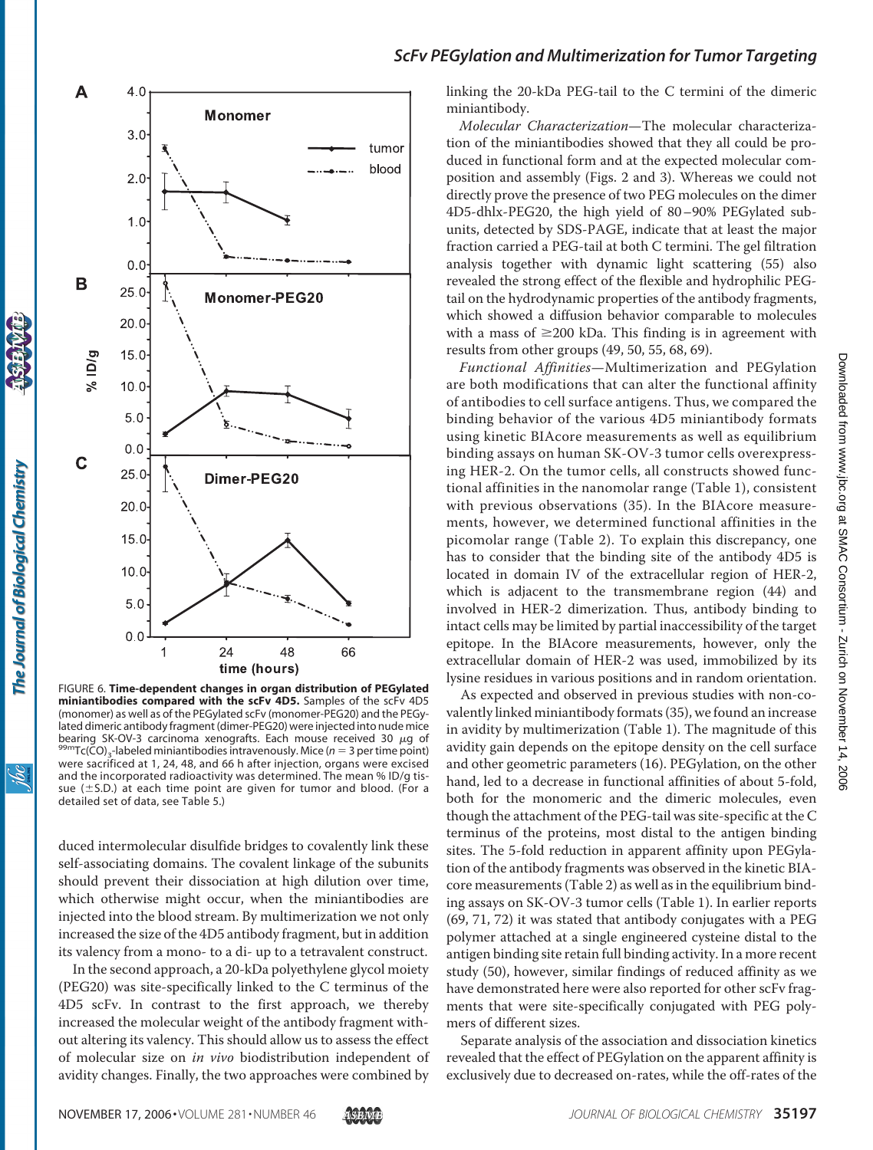

FIGURE 6. **Time-dependent changes in organ distribution of PEGylated** miniantibodies compared with the scFv 4D5. Samples of the scFv 4D5 (monomer) as well as of the PEGylated scFv (monomer-PEG20) and the PEGylated dimeric antibody fragment (dimer-PEG20) were injected into nude mice bearing SK-OV-3 carcinoma xenografts. Each mouse received 30  $\mu$ g of 99mTc(CO)<sub>3</sub>-labeled miniantibodies intravenously. Mice (*n* = 3 per time point) were sacrificed at 1, 24, 48, and 66 h after injection, organs were excised and the incorporated radioactivity was determined. The mean % ID/g tissue ( $\pm$ S.D.) at each time point are given for tumor and blood. (For a detailed set of data, see Table 5.)

duced intermolecular disulfide bridges to covalently link these self-associating domains. The covalent linkage of the subunits should prevent their dissociation at high dilution over time, which otherwise might occur, when the miniantibodies are injected into the blood stream. By multimerization we not only increased the size of the 4D5 antibody fragment, but in addition its valency from a mono- to a di- up to a tetravalent construct.

In the second approach, a 20-kDa polyethylene glycol moiety (PEG20) was site-specifically linked to the C terminus of the 4D5 scFv. In contrast to the first approach, we thereby increased the molecular weight of the antibody fragment without altering its valency. This should allow us to assess the effect of molecular size on *in vivo* biodistribution independent of avidity changes. Finally, the two approaches were combined by

# *ScFv PEGylation and Multimerization for Tumor Targeting*

linking the 20-kDa PEG-tail to the C termini of the dimeric miniantibody.

*Molecular Characterization*—The molecular characterization of the miniantibodies showed that they all could be produced in functional form and at the expected molecular composition and assembly (Figs. 2 and 3). Whereas we could not directly prove the presence of two PEG molecules on the dimer 4D5-dhlx-PEG20, the high yield of 80–90% PEGylated subunits, detected by SDS-PAGE, indicate that at least the major fraction carried a PEG-tail at both C termini. The gel filtration analysis together with dynamic light scattering (55) also revealed the strong effect of the flexible and hydrophilic PEGtail on the hydrodynamic properties of the antibody fragments, which showed a diffusion behavior comparable to molecules with a mass of  $\geq 200$  kDa. This finding is in agreement with results from other groups (49, 50, 55, 68, 69).

*Functional Affinities*—Multimerization and PEGylation are both modifications that can alter the functional affinity of antibodies to cell surface antigens. Thus, we compared the binding behavior of the various 4D5 miniantibody formats using kinetic BIAcore measurements as well as equilibrium binding assays on human SK-OV-3 tumor cells overexpressing HER-2. On the tumor cells, all constructs showed functional affinities in the nanomolar range (Table 1), consistent with previous observations (35). In the BIAcore measurements, however, we determined functional affinities in the picomolar range (Table 2). To explain this discrepancy, one has to consider that the binding site of the antibody 4D5 is located in domain IV of the extracellular region of HER-2, which is adjacent to the transmembrane region (44) and involved in HER-2 dimerization. Thus, antibody binding to intact cells may be limited by partial inaccessibility of the target epitope. In the BIAcore measurements, however, only the extracellular domain of HER-2 was used, immobilized by its lysine residues in various positions and in random orientation.

As expected and observed in previous studies with non-covalently linked miniantibody formats (35), we found an increase in avidity by multimerization (Table 1). The magnitude of this avidity gain depends on the epitope density on the cell surface and other geometric parameters (16). PEGylation, on the other hand, led to a decrease in functional affinities of about 5-fold, both for the monomeric and the dimeric molecules, even though the attachment of the PEG-tail was site-specific at the C terminus of the proteins, most distal to the antigen binding sites. The 5-fold reduction in apparent affinity upon PEGylation of the antibody fragments was observed in the kinetic BIAcore measurements (Table 2) as well as in the equilibrium binding assays on SK-OV-3 tumor cells (Table 1). In earlier reports (69, 71, 72) it was stated that antibody conjugates with a PEG polymer attached at a single engineered cysteine distal to the antigen binding site retain full binding activity. In a more recent study (50), however, similar findings of reduced affinity as we have demonstrated here were also reported for other scFv fragments that were site-specifically conjugated with PEG polymers of different sizes.

Separate analysis of the association and dissociation kinetics revealed that the effect of PEGylation on the apparent affinity is exclusively due to decreased on-rates, while the off-rates of the

<u>жі</u>

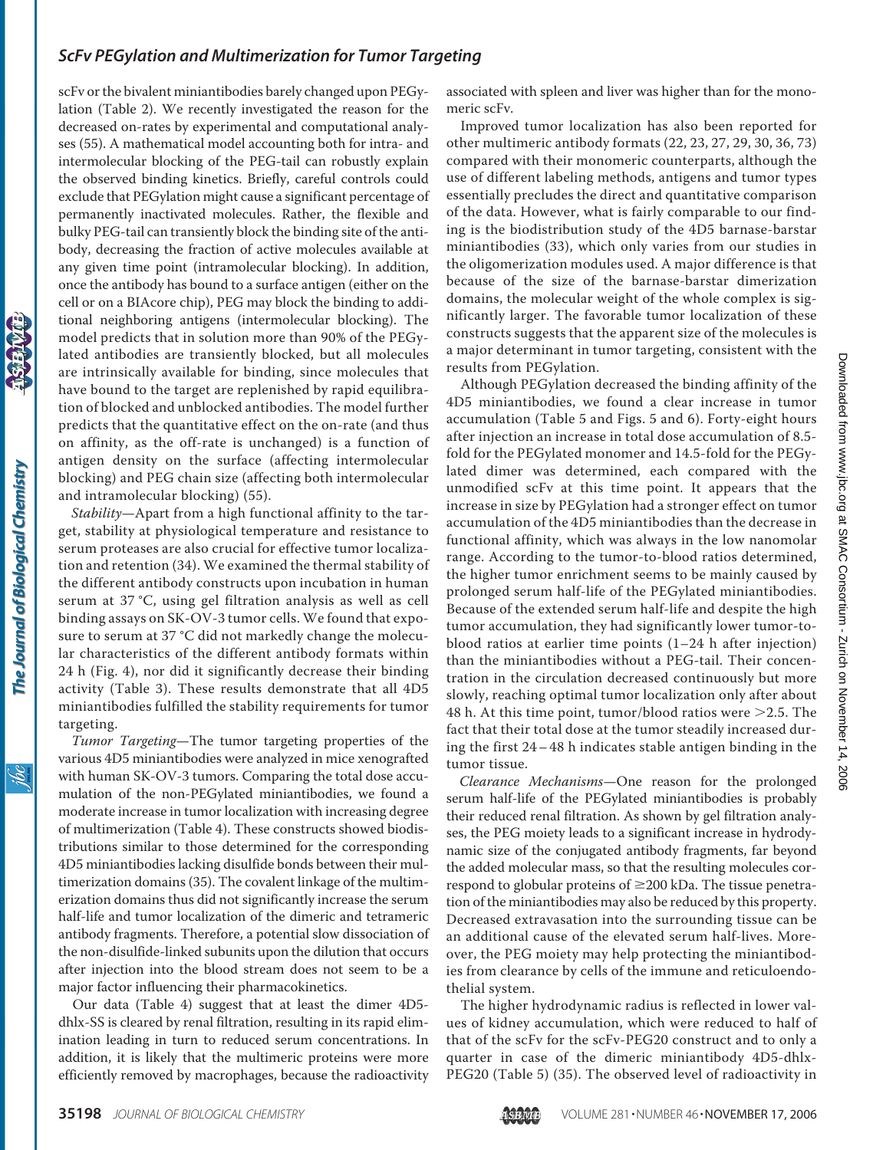scFv or the bivalent miniantibodies barely changed upon PEGylation (Table 2). We recently investigated the reason for the decreased on-rates by experimental and computational analyses (55). A mathematical model accounting both for intra- and intermolecular blocking of the PEG-tail can robustly explain the observed binding kinetics. Briefly, careful controls could exclude that PEGylation might cause a significant percentage of permanently inactivated molecules. Rather, the flexible and bulky PEG-tail can transiently block the binding site of the antibody, decreasing the fraction of active molecules available at any given time point (intramolecular blocking). In addition, once the antibody has bound to a surface antigen (either on the cell or on a BIAcore chip), PEG may block the binding to additional neighboring antigens (intermolecular blocking). The model predicts that in solution more than 90% of the PEGylated antibodies are transiently blocked, but all molecules are intrinsically available for binding, since molecules that have bound to the target are replenished by rapid equilibration of blocked and unblocked antibodies. The model further predicts that the quantitative effect on the on-rate (and thus on affinity, as the off-rate is unchanged) is a function of antigen density on the surface (affecting intermolecular blocking) and PEG chain size (affecting both intermolecular and intramolecular blocking) (55).

*Stability*—Apart from a high functional affinity to the target, stability at physiological temperature and resistance to serum proteases are also crucial for effective tumor localization and retention (34). We examined the thermal stability of the different antibody constructs upon incubation in human serum at 37 °C, using gel filtration analysis as well as cell binding assays on SK-OV-3 tumor cells.We found that exposure to serum at 37 °C did not markedly change the molecular characteristics of the different antibody formats within 24 h (Fig. 4), nor did it significantly decrease their binding activity (Table 3). These results demonstrate that all 4D5 miniantibodies fulfilled the stability requirements for tumor targeting.

*Tumor Targeting*—The tumor targeting properties of the various 4D5 miniantibodies were analyzed in mice xenografted with human SK-OV-3 tumors. Comparing the total dose accumulation of the non-PEGylated miniantibodies, we found a moderate increase in tumor localization with increasing degree of multimerization (Table 4). These constructs showed biodistributions similar to those determined for the corresponding 4D5 miniantibodies lacking disulfide bonds between their multimerization domains (35). The covalent linkage of the multimerization domains thus did not significantly increase the serum half-life and tumor localization of the dimeric and tetrameric antibody fragments. Therefore, a potential slow dissociation of the non-disulfide-linked subunits upon the dilution that occurs after injection into the blood stream does not seem to be a major factor influencing their pharmacokinetics.

Our data (Table 4) suggest that at least the dimer 4D5 dhlx-SS is cleared by renal filtration, resulting in its rapid elimination leading in turn to reduced serum concentrations. In addition, it is likely that the multimeric proteins were more efficiently removed by macrophages, because the radioactivity associated with spleen and liver was higher than for the monomeric scFv.

Improved tumor localization has also been reported for other multimeric antibody formats (22, 23, 27, 29, 30, 36, 73) compared with their monomeric counterparts, although the use of different labeling methods, antigens and tumor types essentially precludes the direct and quantitative comparison of the data. However, what is fairly comparable to our finding is the biodistribution study of the 4D5 barnase-barstar miniantibodies (33), which only varies from our studies in the oligomerization modules used. A major difference is that because of the size of the barnase-barstar dimerization domains, the molecular weight of the whole complex is significantly larger. The favorable tumor localization of these constructs suggests that the apparent size of the molecules is a major determinant in tumor targeting, consistent with the results from PEGylation.

Although PEGylation decreased the binding affinity of the 4D5 miniantibodies, we found a clear increase in tumor accumulation (Table 5 and Figs. 5 and 6). Forty-eight hours after injection an increase in total dose accumulation of 8.5 fold for the PEGylated monomer and 14.5-fold for the PEGylated dimer was determined, each compared with the unmodified scFv at this time point. It appears that the increase in size by PEGylation had a stronger effect on tumor accumulation of the 4D5 miniantibodies than the decrease in functional affinity, which was always in the low nanomolar range. According to the tumor-to-blood ratios determined, the higher tumor enrichment seems to be mainly caused by prolonged serum half-life of the PEGylated miniantibodies. Because of the extended serum half-life and despite the high tumor accumulation, they had significantly lower tumor-toblood ratios at earlier time points (1–24 h after injection) than the miniantibodies without a PEG-tail. Their concentration in the circulation decreased continuously but more slowly, reaching optimal tumor localization only after about 48 h. At this time point, tumor/blood ratios were  $>2.5$ . The fact that their total dose at the tumor steadily increased during the first 24– 48 h indicates stable antigen binding in the tumor tissue.

*Clearance Mechanisms*—One reason for the prolonged serum half-life of the PEGylated miniantibodies is probably their reduced renal filtration. As shown by gel filtration analyses, the PEG moiety leads to a significant increase in hydrodynamic size of the conjugated antibody fragments, far beyond the added molecular mass, so that the resulting molecules correspond to globular proteins of  $\geq$ 200 kDa. The tissue penetration of the miniantibodies may also be reduced by this property. Decreased extravasation into the surrounding tissue can be an additional cause of the elevated serum half-lives. Moreover, the PEG moiety may help protecting the miniantibodies from clearance by cells of the immune and reticuloendothelial system.

The higher hydrodynamic radius is reflected in lower values of kidney accumulation, which were reduced to half of that of the scFv for the scFv-PEG20 construct and to only a quarter in case of the dimeric miniantibody 4D5-dhlx-PEG20 (Table 5) (35). The observed level of radioactivity in

<u>sqi</u>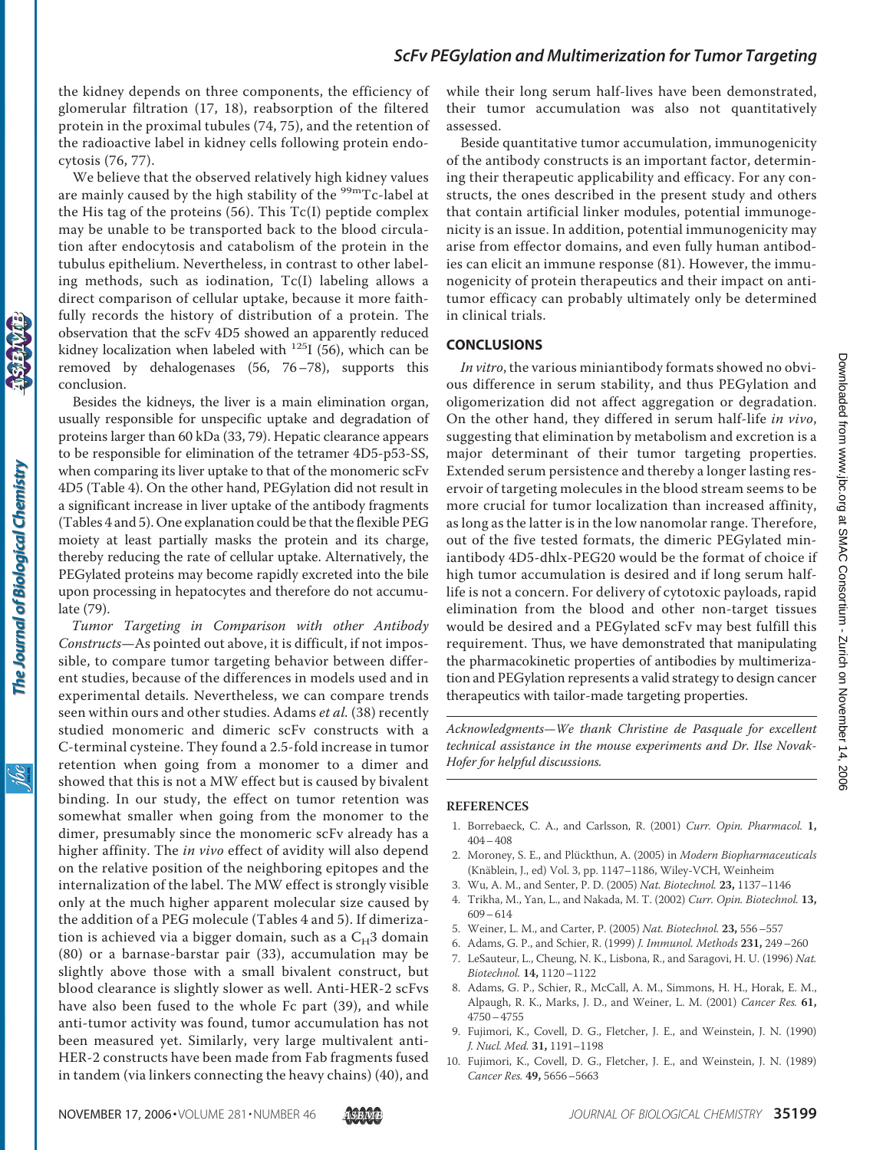the kidney depends on three components, the efficiency of glomerular filtration (17, 18), reabsorption of the filtered protein in the proximal tubules (74, 75), and the retention of the radioactive label in kidney cells following protein endocytosis (76, 77).

We believe that the observed relatively high kidney values are mainly caused by the high stability of the <sup>99m</sup>Tc-label at the His tag of the proteins (56). This Tc(I) peptide complex may be unable to be transported back to the blood circulation after endocytosis and catabolism of the protein in the tubulus epithelium. Nevertheless, in contrast to other labeling methods, such as iodination, Tc(I) labeling allows a direct comparison of cellular uptake, because it more faithfully records the history of distribution of a protein. The observation that the scFv 4D5 showed an apparently reduced kidney localization when labeled with  $125$ I (56), which can be removed by dehalogenases (56, 76–78), supports this conclusion.

Besides the kidneys, the liver is a main elimination organ, usually responsible for unspecific uptake and degradation of proteins larger than 60 kDa (33, 79). Hepatic clearance appears to be responsible for elimination of the tetramer 4D5-p53-SS, when comparing its liver uptake to that of the monomeric scFv 4D5 (Table 4). On the other hand, PEGylation did not result in a significant increase in liver uptake of the antibody fragments (Tables 4 and 5). One explanation could be that the flexible PEG moiety at least partially masks the protein and its charge, thereby reducing the rate of cellular uptake. Alternatively, the PEGylated proteins may become rapidly excreted into the bile upon processing in hepatocytes and therefore do not accumulate (79).

*Tumor Targeting in Comparison with other Antibody Constructs*—As pointed out above, it is difficult, if not impossible, to compare tumor targeting behavior between different studies, because of the differences in models used and in experimental details. Nevertheless, we can compare trends seen within ours and other studies. Adams *et al.* (38) recently studied monomeric and dimeric scFv constructs with a C-terminal cysteine. They found a 2.5-fold increase in tumor retention when going from a monomer to a dimer and showed that this is not a MW effect but is caused by bivalent binding. In our study, the effect on tumor retention was somewhat smaller when going from the monomer to the dimer, presumably since the monomeric scFv already has a higher affinity. The *in vivo* effect of avidity will also depend on the relative position of the neighboring epitopes and the internalization of the label. The MW effect is strongly visible only at the much higher apparent molecular size caused by the addition of a PEG molecule (Tables 4 and 5). If dimerization is achieved via a bigger domain, such as a  $C_H3$  domain (80) or a barnase-barstar pair (33), accumulation may be slightly above those with a small bivalent construct, but blood clearance is slightly slower as well. Anti-HER-2 scFvs have also been fused to the whole Fc part (39), and while anti-tumor activity was found, tumor accumulation has not been measured yet. Similarly, very large multivalent anti-HER-2 constructs have been made from Fab fragments fused in tandem (via linkers connecting the heavy chains) (40), and

while their long serum half-lives have been demonstrated, their tumor accumulation was also not quantitatively assessed.

Beside quantitative tumor accumulation, immunogenicity of the antibody constructs is an important factor, determining their therapeutic applicability and efficacy. For any constructs, the ones described in the present study and others that contain artificial linker modules, potential immunogenicity is an issue. In addition, potential immunogenicity may arise from effector domains, and even fully human antibodies can elicit an immune response (81). However, the immunogenicity of protein therapeutics and their impact on antitumor efficacy can probably ultimately only be determined in clinical trials.

### **CONCLUSIONS**

*In vitro*, the various miniantibody formats showed no obvious difference in serum stability, and thus PEGylation and oligomerization did not affect aggregation or degradation. On the other hand, they differed in serum half-life *in vivo*, suggesting that elimination by metabolism and excretion is a major determinant of their tumor targeting properties. Extended serum persistence and thereby a longer lasting reservoir of targeting molecules in the blood stream seems to be more crucial for tumor localization than increased affinity, as long as the latter is in the low nanomolar range. Therefore, out of the five tested formats, the dimeric PEGylated miniantibody 4D5-dhlx-PEG20 would be the format of choice if high tumor accumulation is desired and if long serum halflife is not a concern. For delivery of cytotoxic payloads, rapid elimination from the blood and other non-target tissues would be desired and a PEGylated scFv may best fulfill this requirement. Thus, we have demonstrated that manipulating the pharmacokinetic properties of antibodies by multimerization and PEGylation represents a valid strategy to design cancer therapeutics with tailor-made targeting properties.

*Acknowledgments—We thank Christine de Pasquale for excellent technical assistance in the mouse experiments and Dr. Ilse Novak-Hofer for helpful discussions.*

#### **REFERENCES**

- 1. Borrebaeck, C. A., and Carlsson, R. (2001) *Curr. Opin. Pharmacol.* **1,** 404–408
- 2. Moroney, S. E., and Plückthun, A. (2005) in *Modern Biopharmaceuticals* (Knäblein, J., ed) Vol. 3, pp. 1147–1186, Wiley-VCH, Weinheim
- 3. Wu, A. M., and Senter, P. D. (2005) *Nat. Biotechnol.* **23,** 1137–1146
- 4. Trikha, M., Yan, L., and Nakada, M. T. (2002) *Curr. Opin. Biotechnol.* **13,** 609–614
- 5. Weiner, L. M., and Carter, P. (2005) *Nat. Biotechnol.* **23,** 556–557
- 6. Adams, G. P., and Schier, R. (1999) *J. Immunol. Methods* **231,** 249–260
- 7. LeSauteur, L., Cheung, N. K., Lisbona, R., and Saragovi, H. U. (1996) *Nat. Biotechnol.* **14,** 1120–1122
- 8. Adams, G. P., Schier, R., McCall, A. M., Simmons, H. H., Horak, E. M., Alpaugh, R. K., Marks, J. D., and Weiner, L. M. (2001) *Cancer Res.* **61,** 4750–4755
- 9. Fujimori, K., Covell, D. G., Fletcher, J. E., and Weinstein, J. N. (1990) *J. Nucl. Med.* **31,** 1191–1198
- 10. Fujimori, K., Covell, D. G., Fletcher, J. E., and Weinstein, J. N. (1989) *Cancer Res.* **49,** 5656–5663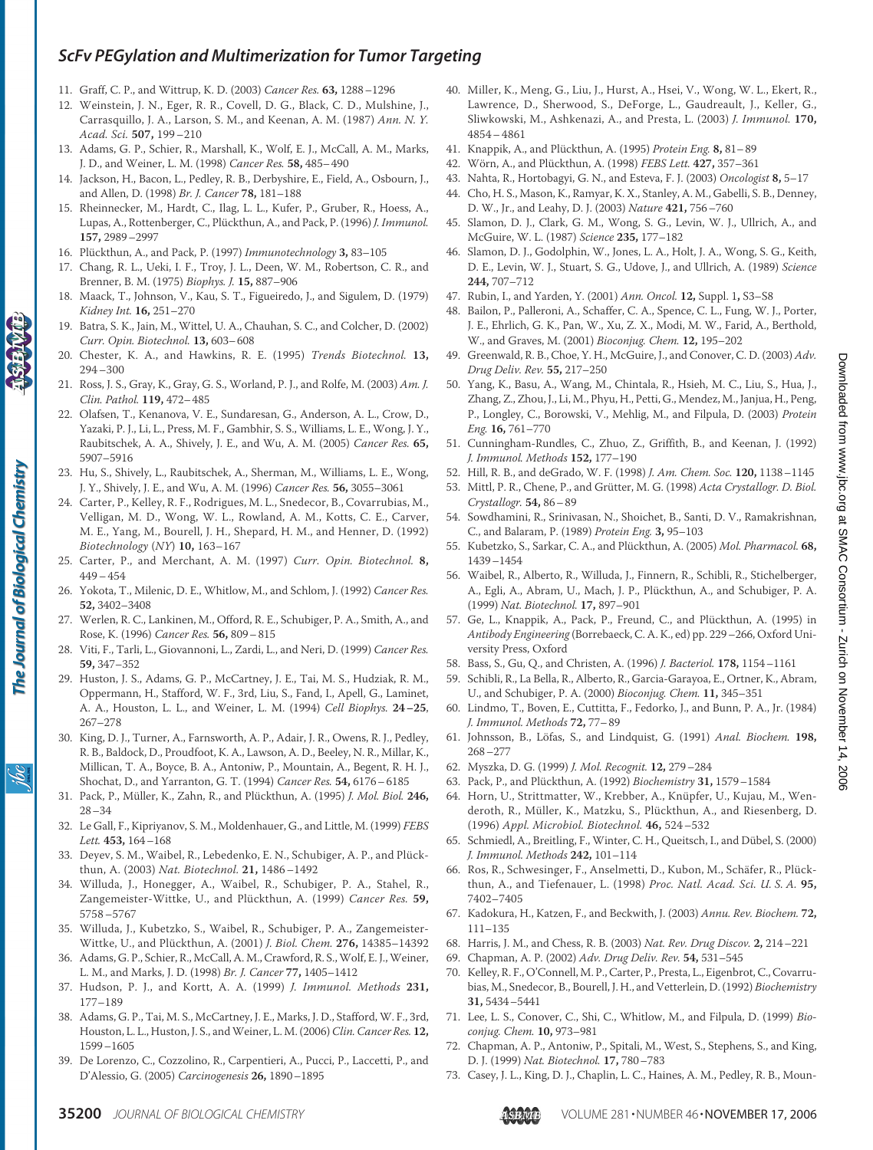- 11. Graff, C. P., and Wittrup, K. D. (2003) *Cancer Res.* **63,** 1288–1296
- 12. Weinstein, J. N., Eger, R. R., Covell, D. G., Black, C. D., Mulshine, J., Carrasquillo, J. A., Larson, S. M., and Keenan, A. M. (1987) *Ann. N. Y. Acad. Sci.* **507,** 199–210
- 13. Adams, G. P., Schier, R., Marshall, K., Wolf, E. J., McCall, A. M., Marks, J. D., and Weiner, L. M. (1998) *Cancer Res.* **58,** 485–490
- 14. Jackson, H., Bacon, L., Pedley, R. B., Derbyshire, E., Field, A., Osbourn, J., and Allen, D. (1998) *Br. J. Cancer* **78,** 181–188
- 15. Rheinnecker, M., Hardt, C., Ilag, L. L., Kufer, P., Gruber, R., Hoess, A., Lupas, A., Rottenberger, C., Plückthun, A., and Pack, P. (1996) *J. Immunol.* **157,** 2989–2997
- 16. Plückthun, A., and Pack, P. (1997) *Immunotechnology* 3, 83-105
- 17. Chang, R. L., Ueki, I. F., Troy, J. L., Deen, W. M., Robertson, C. R., and Brenner, B. M. (1975) *Biophys. J.* **15,** 887–906
- 18. Maack, T., Johnson, V., Kau, S. T., Figueiredo, J., and Sigulem, D. (1979) *Kidney Int.* **16,** 251–270
- 19. Batra, S. K., Jain, M., Wittel, U. A., Chauhan, S. C., and Colcher, D. (2002) *Curr. Opin. Biotechnol.* **13,** 603–608
- 20. Chester, K. A., and Hawkins, R. E. (1995) *Trends Biotechnol.* **13,** 294–300
- 21. Ross, J. S., Gray, K., Gray, G. S., Worland, P. J., and Rolfe, M. (2003) *Am. J. Clin. Pathol.* **119,** 472–485
- 22. Olafsen, T., Kenanova, V. E., Sundaresan, G., Anderson, A. L., Crow, D., Yazaki, P. J., Li, L., Press, M. F., Gambhir, S. S., Williams, L. E., Wong, J. Y., Raubitschek, A. A., Shively, J. E., and Wu, A. M. (2005) *Cancer Res.* **65,** 5907–5916
- 23. Hu, S., Shively, L., Raubitschek, A., Sherman, M., Williams, L. E., Wong, J. Y., Shively, J. E., and Wu, A. M. (1996) *Cancer Res.* **56,** 3055–3061
- 24. Carter, P., Kelley, R. F., Rodrigues, M. L., Snedecor, B., Covarrubias, M., Velligan, M. D., Wong, W. L., Rowland, A. M., Kotts, C. E., Carver, M. E., Yang, M., Bourell, J. H., Shepard, H. M., and Henner, D. (1992) *Biotechnology* (*NY*) **10,** 163–167
- 25. Carter, P., and Merchant, A. M. (1997) *Curr. Opin. Biotechnol.* **8,** 449–454
- 26. Yokota, T., Milenic, D. E., Whitlow, M., and Schlom, J. (1992) *Cancer Res.* **52,** 3402–3408
- 27. Werlen, R. C., Lankinen, M., Offord, R. E., Schubiger, P. A., Smith, A., and Rose, K. (1996) *Cancer Res.* **56,** 809–815
- 28. Viti, F., Tarli, L., Giovannoni, L., Zardi, L., and Neri, D. (1999) *Cancer Res.* **59,** 347–352
- 29. Huston, J. S., Adams, G. P., McCartney, J. E., Tai, M. S., Hudziak, R. M., Oppermann, H., Stafford, W. F., 3rd, Liu, S., Fand, I., Apell, G., Laminet, A. A., Houston, L. L., and Weiner, L. M. (1994) *Cell Biophys.* **24–25**, 267–278
- 30. King, D. J., Turner, A., Farnsworth, A. P., Adair, J. R., Owens, R. J., Pedley, R. B., Baldock, D., Proudfoot, K. A., Lawson, A. D., Beeley, N. R., Millar, K., Millican, T. A., Boyce, B. A., Antoniw, P., Mountain, A., Begent, R. H. J., Shochat, D., and Yarranton, G. T. (1994) *Cancer Res.* **54,** 6176–6185
- 31. Pack, P., Müller, K., Zahn, R., and Plückthun, A. (1995) *J. Mol. Biol.* 246, 28–34
- 32. Le Gall, F., Kipriyanov, S. M., Moldenhauer, G., and Little, M. (1999) *FEBS Lett.* **453,** 164–168
- 33. Deyev, S. M., Waibel, R., Lebedenko, E. N., Schubiger, A. P., and Plückthun, A. (2003) *Nat. Biotechnol.* **21,** 1486–1492
- 34. Willuda, J., Honegger, A., Waibel, R., Schubiger, P. A., Stahel, R., Zangemeister-Wittke, U., and Plückthun, A. (1999) *Cancer Res*. 59, 5758–5767
- 35. Willuda, J., Kubetzko, S., Waibel, R., Schubiger, P. A., Zangemeister-Wittke, U., and Plückthun, A. (2001) *J. Biol. Chem.* 276, 14385-14392
- 36. Adams, G. P., Schier, R., McCall, A. M., Crawford, R. S., Wolf, E. J., Weiner, L. M., and Marks, J. D. (1998) *Br. J. Cancer* **77,** 1405–1412
- 37. Hudson, P. J., and Kortt, A. A. (1999) *J. Immunol. Methods* **231,** 177–189
- 38. Adams, G. P., Tai, M. S., McCartney, J. E., Marks, J. D., Stafford, W. F., 3rd, Houston, L. L., Huston, J. S., andWeiner, L. M. (2006)*Clin. Cancer Res.* **12,** 1599–1605
- 39. De Lorenzo, C., Cozzolino, R., Carpentieri, A., Pucci, P., Laccetti, P., and D'Alessio, G. (2005) *Carcinogenesis* **26,** 1890–1895
- 40. Miller, K., Meng, G., Liu, J., Hurst, A., Hsei, V., Wong, W. L., Ekert, R., Lawrence, D., Sherwood, S., DeForge, L., Gaudreault, J., Keller, G., Sliwkowski, M., Ashkenazi, A., and Presta, L. (2003) *J. Immunol.* **170,** 4854–4861
- 41. Knappik, A., and Plu¨ckthun, A. (1995) *Protein Eng.* **8,** 81–89
- 42. Wörn, A., and Plückthun, A. (1998) *FEBS Lett.* 427, 357-361
- 43. Nahta, R., Hortobagyi, G. N., and Esteva, F. J. (2003) *Oncologist* **8,** 5–17
- 44. Cho, H. S., Mason, K., Ramyar, K. X., Stanley, A. M., Gabelli, S. B., Denney, D. W., Jr., and Leahy, D. J. (2003) *Nature* **421,** 756–760
- 45. Slamon, D. J., Clark, G. M., Wong, S. G., Levin, W. J., Ullrich, A., and McGuire, W. L. (1987) *Science* **235,** 177–182
- 46. Slamon, D. J., Godolphin, W., Jones, L. A., Holt, J. A., Wong, S. G., Keith, D. E., Levin, W. J., Stuart, S. G., Udove, J., and Ullrich, A. (1989) *Science* **244,** 707–712
- 47. Rubin, I., and Yarden, Y. (2001) *Ann. Oncol.* **12,** Suppl. 1**,** S3–S8
- 48. Bailon, P., Palleroni, A., Schaffer, C. A., Spence, C. L., Fung, W. J., Porter, J. E., Ehrlich, G. K., Pan, W., Xu, Z. X., Modi, M. W., Farid, A., Berthold, W., and Graves, M. (2001) *Bioconjug. Chem.* **12,** 195–202
- 49. Greenwald, R. B., Choe, Y. H., McGuire, J., and Conover, C. D. (2003) *Adv. Drug Deliv. Rev.* **55,** 217–250
- 50. Yang, K., Basu, A., Wang, M., Chintala, R., Hsieh, M. C., Liu, S., Hua, J., Zhang, Z., Zhou, J., Li, M., Phyu, H., Petti, G., Mendez, M., Janjua, H., Peng, P., Longley, C., Borowski, V., Mehlig, M., and Filpula, D. (2003) *Protein Eng.* **16,** 761–770
- 51. Cunningham-Rundles, C., Zhuo, Z., Griffith, B., and Keenan, J. (1992) *J. Immunol. Methods* **152,** 177–190
- 52. Hill, R. B., and deGrado, W. F. (1998) *J. Am. Chem. Soc.* **120,** 1138–1145 53. Mittl, P. R., Chene, P., and Grütter, M. G. (1998) Acta Crystallogr. D. Biol.
- *Crystallogr.* **54,** 86–89
- 54. Sowdhamini, R., Srinivasan, N., Shoichet, B., Santi, D. V., Ramakrishnan, C., and Balaram, P. (1989) *Protein Eng.* **3,** 95–103
- 55. Kubetzko, S., Sarkar, C. A., and Plückthun, A. (2005) Mol. Pharmacol. 68, 1439–1454
- 56. Waibel, R., Alberto, R., Willuda, J., Finnern, R., Schibli, R., Stichelberger, A., Egli, A., Abram, U., Mach, J. P., Plückthun, A., and Schubiger, P. A. (1999) *Nat. Biotechnol.* **17,** 897–901
- 57. Ge, L., Knappik, A., Pack, P., Freund, C., and Plückthun, A. (1995) in *Antibody Engineering* (Borrebaeck, C. A. K., ed) pp. 229–266, Oxford University Press, Oxford
- 58. Bass, S., Gu, Q., and Christen, A. (1996) *J. Bacteriol.* **178,** 1154–1161
- 59. Schibli, R., La Bella, R., Alberto, R., Garcia-Garayoa, E., Ortner, K., Abram, U., and Schubiger, P. A. (2000) *Bioconjug. Chem.* **11,** 345–351
- 60. Lindmo, T., Boven, E., Cuttitta, F., Fedorko, J., and Bunn, P. A., Jr. (1984) *J. Immunol. Methods* **72,** 77–89
- 61. Johnsson, B., Lo¨fas, S., and Lindquist, G. (1991) *Anal. Biochem.* **198,** 268–277
- 62. Myszka, D. G. (1999) *J. Mol. Recognit.* **12,** 279–284
- 63. Pack, P., and Plückthun, A. (1992) *Biochemistry* 31, 1579-1584
- 64. Horn, U., Strittmatter, W., Krebber, A., Knüpfer, U., Kujau, M., Wenderoth, R., Müller, K., Matzku, S., Plückthun, A., and Riesenberg, D. (1996) *Appl. Microbiol. Biotechnol.* **46,** 524–532
- 65. Schmiedl, A., Breitling, F., Winter, C. H., Queitsch, I., and Dübel, S. (2000) *J. Immunol. Methods* **242,** 101–114
- 66. Ros, R., Schwesinger, F., Anselmetti, D., Kubon, M., Schäfer, R., Plückthun, A., and Tiefenauer, L. (1998) *Proc. Natl. Acad. Sci. U. S. A.* **95,** 7402–7405
- 67. Kadokura, H., Katzen, F., and Beckwith, J. (2003) *Annu. Rev. Biochem.* **72,** 111–135
- 68. Harris, J. M., and Chess, R. B. (2003) *Nat. Rev. Drug Discov.* **2,** 214–221
- 69. Chapman, A. P. (2002) *Adv. Drug Deliv. Rev.* **54,** 531–545
- 70. Kelley, R. F., O'Connell, M. P., Carter, P., Presta, L., Eigenbrot, C., Covarrubias, M., Snedecor, B., Bourell, J. H., and Vetterlein, D. (1992) *Biochemistry* **31,** 5434–5441
- 71. Lee, L. S., Conover, C., Shi, C., Whitlow, M., and Filpula, D. (1999) *Bioconjug. Chem.* **10,** 973–981
- 72. Chapman, A. P., Antoniw, P., Spitali, M., West, S., Stephens, S., and King, D. J. (1999) *Nat. Biotechnol.* **17,** 780–783
- 73. Casey, J. L., King, D. J., Chaplin, L. C., Haines, A. M., Pedley, R. B., Moun-



The Journal of Biological Chemistry

ibc